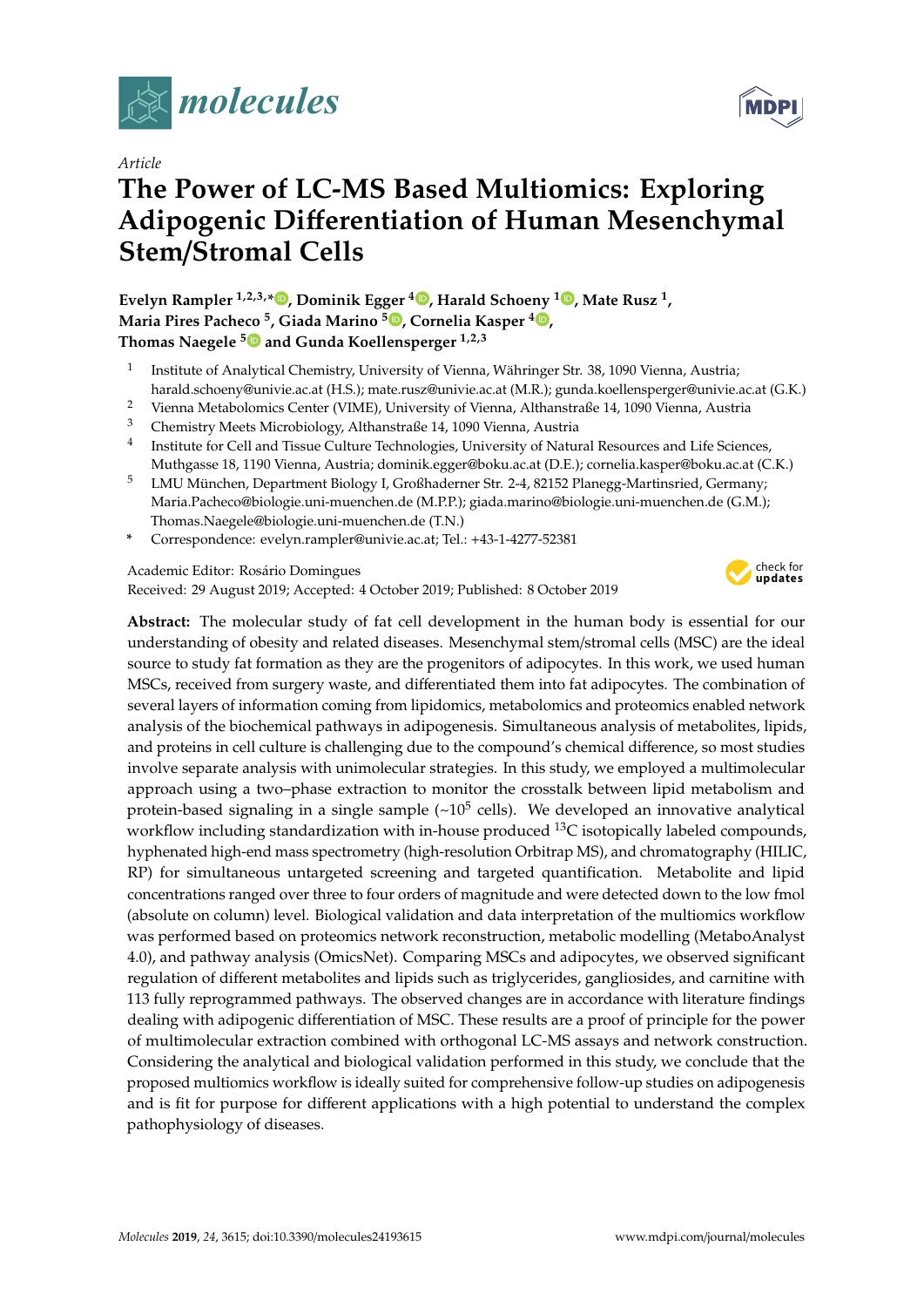

*Article*

# **The Power of LC-MS Based Multiomics: Exploring Adipogenic Di**ff**erentiation of Human Mesenchymal Stem**/**Stromal Cells**

**Evelyn Rampler 1,2,3,\* [,](https://orcid.org/0000-0002-9429-7663) Dominik Egger <sup>4</sup> [,](https://orcid.org/0000-0002-9925-3344) Harald Schoeny <sup>1</sup> [,](https://orcid.org/0000-0001-8696-481X) Mate Rusz <sup>1</sup> , Maria Pires Pacheco <sup>5</sup> , Giada Marino <sup>5</sup> [,](https://orcid.org/0000-0002-1525-4244) Cornelia Kasper <sup>4</sup> [,](https://orcid.org/0000-0003-2607-4326) Thomas Naegele [5](https://orcid.org/0000-0002-5896-238X) and Gunda Koellensperger 1,2,3**

- 1 Institute of Analytical Chemistry, University of Vienna, Währinger Str. 38, 1090 Vienna, Austria; harald.schoeny@univie.ac.at (H.S.); mate.rusz@univie.ac.at (M.R.); gunda.koellensperger@univie.ac.at (G.K.)
- <sup>2</sup> Vienna Metabolomics Center (VIME), University of Vienna, Althanstraße 14, 1090 Vienna, Austria
- <sup>3</sup> Chemistry Meets Microbiology, Althanstraße 14, 1090 Vienna, Austria
- 4 Institute for Cell and Tissue Culture Technologies, University of Natural Resources and Life Sciences, Muthgasse 18, 1190 Vienna, Austria; dominik.egger@boku.ac.at (D.E.); cornelia.kasper@boku.ac.at (C.K.)
- <sup>5</sup> LMU München, Department Biology I, Großhaderner Str. 2-4, 82152 Planegg-Martinsried, Germany; Maria.Pacheco@biologie.uni-muenchen.de (M.P.P.); giada.marino@biologie.uni-muenchen.de (G.M.); Thomas.Naegele@biologie.uni-muenchen.de (T.N.)
- **\*** Correspondence: evelyn.rampler@univie.ac.at; Tel.: +43-1-4277-52381

Academic Editor: Rosário Domingues

Received: 29 August 2019; Accepted: 4 October 2019; Published: 8 October 2019



**MDPI** 

**Abstract:** The molecular study of fat cell development in the human body is essential for our understanding of obesity and related diseases. Mesenchymal stem/stromal cells (MSC) are the ideal source to study fat formation as they are the progenitors of adipocytes. In this work, we used human MSCs, received from surgery waste, and differentiated them into fat adipocytes. The combination of several layers of information coming from lipidomics, metabolomics and proteomics enabled network analysis of the biochemical pathways in adipogenesis. Simultaneous analysis of metabolites, lipids, and proteins in cell culture is challenging due to the compound's chemical difference, so most studies involve separate analysis with unimolecular strategies. In this study, we employed a multimolecular approach using a two–phase extraction to monitor the crosstalk between lipid metabolism and protein-based signaling in a single sample (~10<sup>5</sup> cells). We developed an innovative analytical workflow including standardization with in-house produced  $^{13}C$  isotopically labeled compounds, hyphenated high-end mass spectrometry (high-resolution Orbitrap MS), and chromatography (HILIC, RP) for simultaneous untargeted screening and targeted quantification. Metabolite and lipid concentrations ranged over three to four orders of magnitude and were detected down to the low fmol (absolute on column) level. Biological validation and data interpretation of the multiomics workflow was performed based on proteomics network reconstruction, metabolic modelling (MetaboAnalyst 4.0), and pathway analysis (OmicsNet). Comparing MSCs and adipocytes, we observed significant regulation of different metabolites and lipids such as triglycerides, gangliosides, and carnitine with 113 fully reprogrammed pathways. The observed changes are in accordance with literature findings dealing with adipogenic differentiation of MSC. These results are a proof of principle for the power of multimolecular extraction combined with orthogonal LC-MS assays and network construction. Considering the analytical and biological validation performed in this study, we conclude that the proposed multiomics workflow is ideally suited for comprehensive follow-up studies on adipogenesis and is fit for purpose for different applications with a high potential to understand the complex pathophysiology of diseases.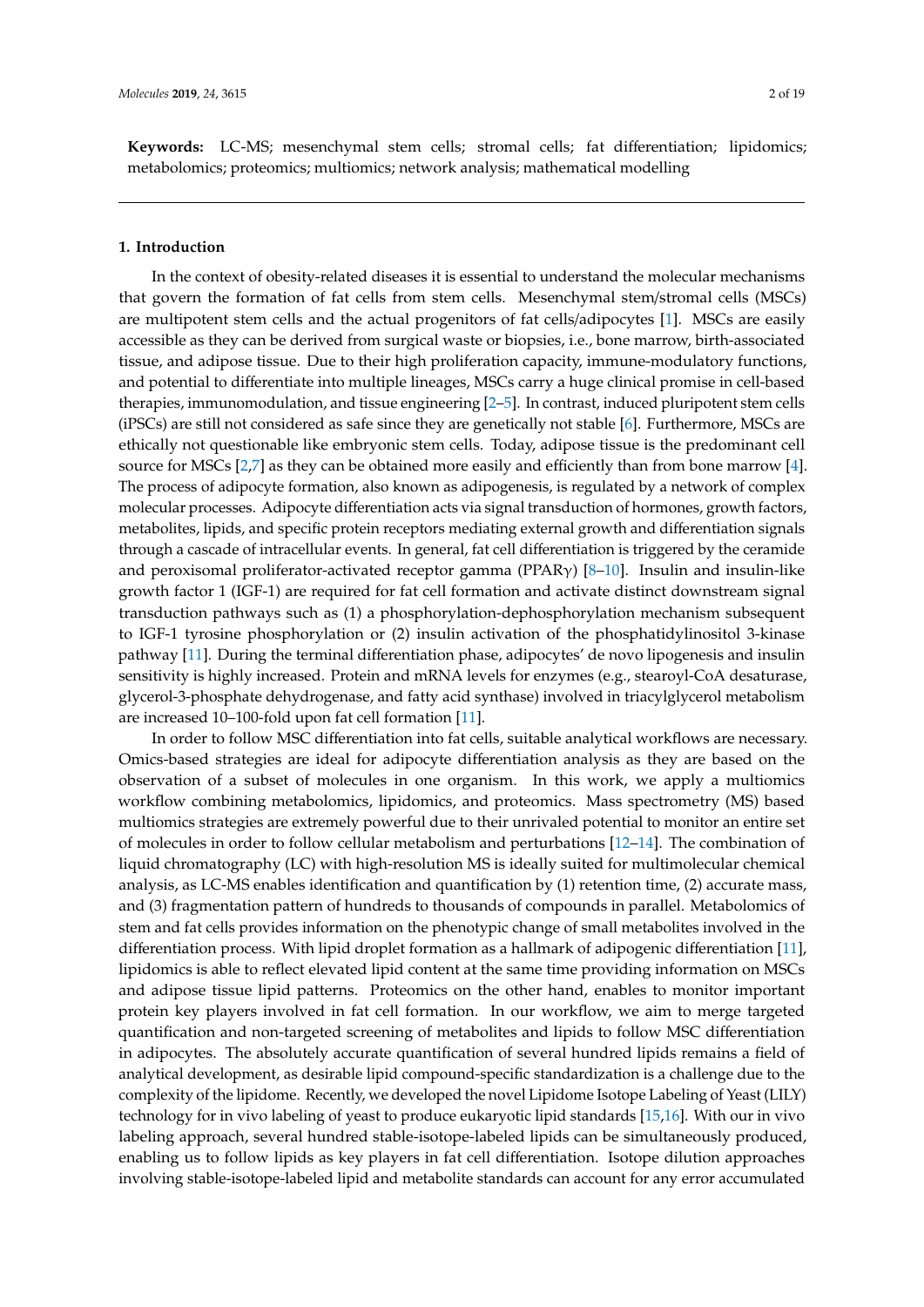**Keywords:** LC-MS; mesenchymal stem cells; stromal cells; fat differentiation; lipidomics; metabolomics; proteomics; multiomics; network analysis; mathematical modelling

#### **1. Introduction**

In the context of obesity-related diseases it is essential to understand the molecular mechanisms that govern the formation of fat cells from stem cells. Mesenchymal stem/stromal cells (MSCs) are multipotent stem cells and the actual progenitors of fat cells/adipocytes [\[1\]](#page-15-0). MSCs are easily accessible as they can be derived from surgical waste or biopsies, i.e., bone marrow, birth-associated tissue, and adipose tissue. Due to their high proliferation capacity, immune-modulatory functions, and potential to differentiate into multiple lineages, MSCs carry a huge clinical promise in cell-based therapies, immunomodulation, and tissue engineering [\[2–](#page-15-1)[5\]](#page-15-2). In contrast, induced pluripotent stem cells (iPSCs) are still not considered as safe since they are genetically not stable [\[6\]](#page-15-3). Furthermore, MSCs are ethically not questionable like embryonic stem cells. Today, adipose tissue is the predominant cell source for MSCs [\[2](#page-15-1)[,7\]](#page-15-4) as they can be obtained more easily and efficiently than from bone marrow [\[4\]](#page-15-5). The process of adipocyte formation, also known as adipogenesis, is regulated by a network of complex molecular processes. Adipocyte differentiation acts via signal transduction of hormones, growth factors, metabolites, lipids, and specific protein receptors mediating external growth and differentiation signals through a cascade of intracellular events. In general, fat cell differentiation is triggered by the ceramide and peroxisomal proliferator-activated receptor gamma (PPARγ) [\[8](#page-15-6)[–10\]](#page-15-7). Insulin and insulin-like growth factor 1 (IGF-1) are required for fat cell formation and activate distinct downstream signal transduction pathways such as (1) a phosphorylation-dephosphorylation mechanism subsequent to IGF-1 tyrosine phosphorylation or (2) insulin activation of the phosphatidylinositol 3-kinase pathway [\[11\]](#page-15-8). During the terminal differentiation phase, adipocytes' de novo lipogenesis and insulin sensitivity is highly increased. Protein and mRNA levels for enzymes (e.g., stearoyl-CoA desaturase, glycerol-3-phosphate dehydrogenase, and fatty acid synthase) involved in triacylglycerol metabolism are increased 10–100-fold upon fat cell formation [\[11\]](#page-15-8).

In order to follow MSC differentiation into fat cells, suitable analytical workflows are necessary. Omics-based strategies are ideal for adipocyte differentiation analysis as they are based on the observation of a subset of molecules in one organism. In this work, we apply a multiomics workflow combining metabolomics, lipidomics, and proteomics. Mass spectrometry (MS) based multiomics strategies are extremely powerful due to their unrivaled potential to monitor an entire set of molecules in order to follow cellular metabolism and perturbations [\[12](#page-15-9)[–14\]](#page-15-10). The combination of liquid chromatography (LC) with high-resolution MS is ideally suited for multimolecular chemical analysis, as LC-MS enables identification and quantification by (1) retention time, (2) accurate mass, and (3) fragmentation pattern of hundreds to thousands of compounds in parallel. Metabolomics of stem and fat cells provides information on the phenotypic change of small metabolites involved in the differentiation process. With lipid droplet formation as a hallmark of adipogenic differentiation [\[11\]](#page-15-8), lipidomics is able to reflect elevated lipid content at the same time providing information on MSCs and adipose tissue lipid patterns. Proteomics on the other hand, enables to monitor important protein key players involved in fat cell formation. In our workflow, we aim to merge targeted quantification and non-targeted screening of metabolites and lipids to follow MSC differentiation in adipocytes. The absolutely accurate quantification of several hundred lipids remains a field of analytical development, as desirable lipid compound-specific standardization is a challenge due to the complexity of the lipidome. Recently, we developed the novel Lipidome Isotope Labeling of Yeast (LILY) technology for in vivo labeling of yeast to produce eukaryotic lipid standards [\[15,](#page-16-0)[16\]](#page-16-1). With our in vivo labeling approach, several hundred stable-isotope-labeled lipids can be simultaneously produced, enabling us to follow lipids as key players in fat cell differentiation. Isotope dilution approaches involving stable-isotope-labeled lipid and metabolite standards can account for any error accumulated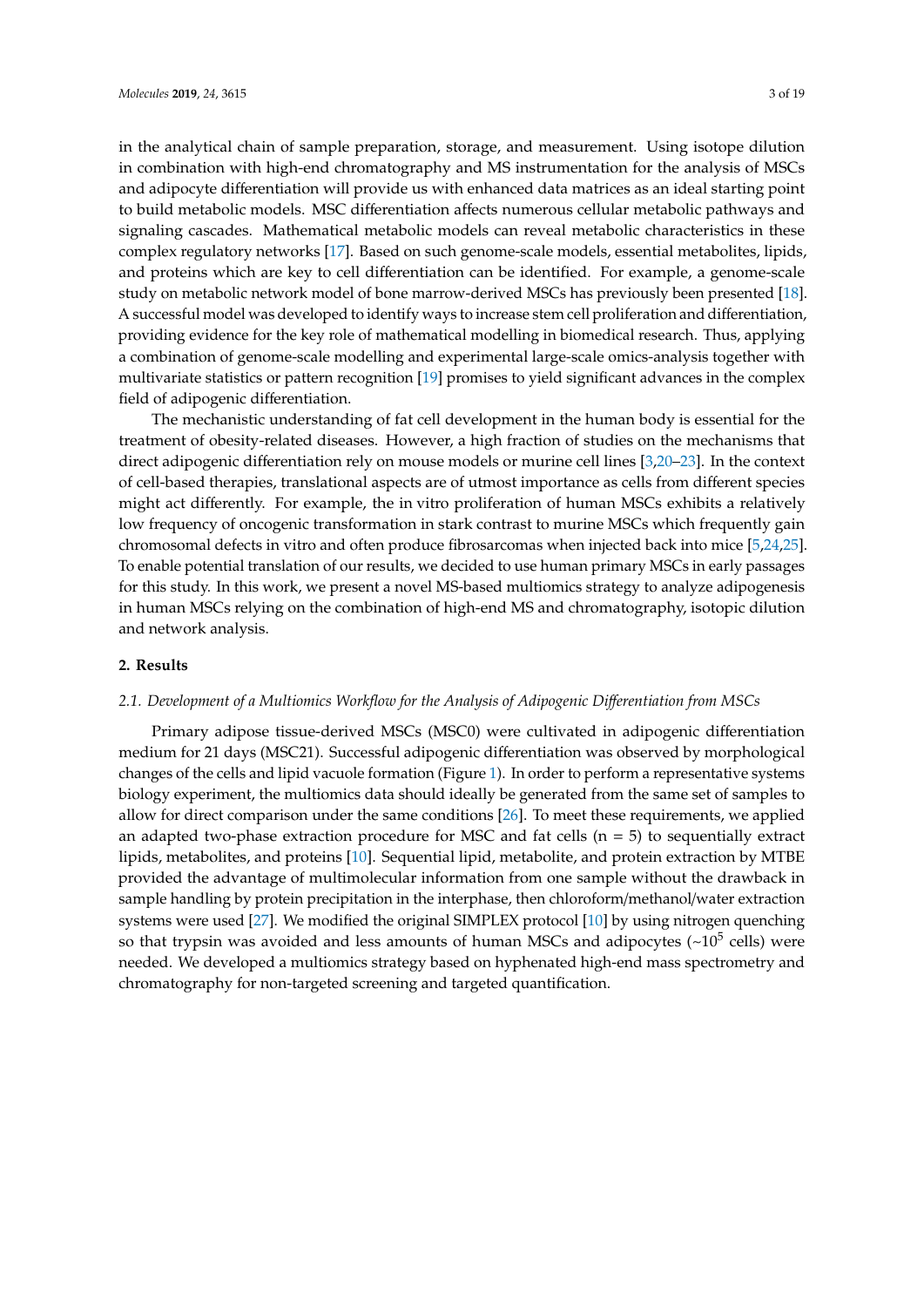in the analytical chain of sample preparation, storage, and measurement. Using isotope dilution in combination with high-end chromatography and MS instrumentation for the analysis of MSCs and adipocyte differentiation will provide us with enhanced data matrices as an ideal starting point to build metabolic models. MSC differentiation affects numerous cellular metabolic pathways and signaling cascades. Mathematical metabolic models can reveal metabolic characteristics in these complex regulatory networks [\[17\]](#page-16-2). Based on such genome-scale models, essential metabolites, lipids, and proteins which are key to cell differentiation can be identified. For example, a genome-scale study on metabolic network model of bone marrow-derived MSCs has previously been presented [\[18\]](#page-16-3). A successful model was developed to identify ways to increase stem cell proliferation and differentiation, providing evidence for the key role of mathematical modelling in biomedical research. Thus, applying a combination of genome-scale modelling and experimental large-scale omics-analysis together with multivariate statistics or pattern recognition [\[19\]](#page-16-4) promises to yield significant advances in the complex field of adipogenic differentiation.

The mechanistic understanding of fat cell development in the human body is essential for the treatment of obesity-related diseases. However, a high fraction of studies on the mechanisms that direct adipogenic differentiation rely on mouse models or murine cell lines [\[3](#page-15-11)[,20](#page-16-5)[–23\]](#page-16-6). In the context of cell-based therapies, translational aspects are of utmost importance as cells from different species might act differently. For example, the in vitro proliferation of human MSCs exhibits a relatively low frequency of oncogenic transformation in stark contrast to murine MSCs which frequently gain chromosomal defects in vitro and often produce fibrosarcomas when injected back into mice [\[5](#page-15-2)[,24](#page-16-7)[,25\]](#page-16-8). To enable potential translation of our results, we decided to use human primary MSCs in early passages for this study. In this work, we present a novel MS-based multiomics strategy to analyze adipogenesis in human MSCs relying on the combination of high-end MS and chromatography, isotopic dilution and network analysis.

#### **2. Results**

#### *2.1. Development of a Multiomics Workflow for the Analysis of Adipogenic Di*ff*erentiation from MSCs*

Primary adipose tissue-derived MSCs (MSC0) were cultivated in adipogenic differentiation medium for 21 days (MSC21). Successful adipogenic differentiation was observed by morphological changes of the cells and lipid vacuole formation (Figure [1\)](#page-3-0). In order to perform a representative systems biology experiment, the multiomics data should ideally be generated from the same set of samples to allow for direct comparison under the same conditions [\[26\]](#page-16-9). To meet these requirements, we applied an adapted two-phase extraction procedure for MSC and fat cells ( $n = 5$ ) to sequentially extract lipids, metabolites, and proteins [\[10\]](#page-15-7). Sequential lipid, metabolite, and protein extraction by MTBE provided the advantage of multimolecular information from one sample without the drawback in sample handling by protein precipitation in the interphase, then chloroform/methanol/water extraction systems were used [\[27\]](#page-16-10). We modified the original SIMPLEX protocol [\[10\]](#page-15-7) by using nitrogen quenching so that trypsin was avoided and less amounts of human MSCs and adipocytes (~10<sup>5</sup> cells) were needed. We developed a multiomics strategy based on hyphenated high-end mass spectrometry and chromatography for non-targeted screening and targeted quantification.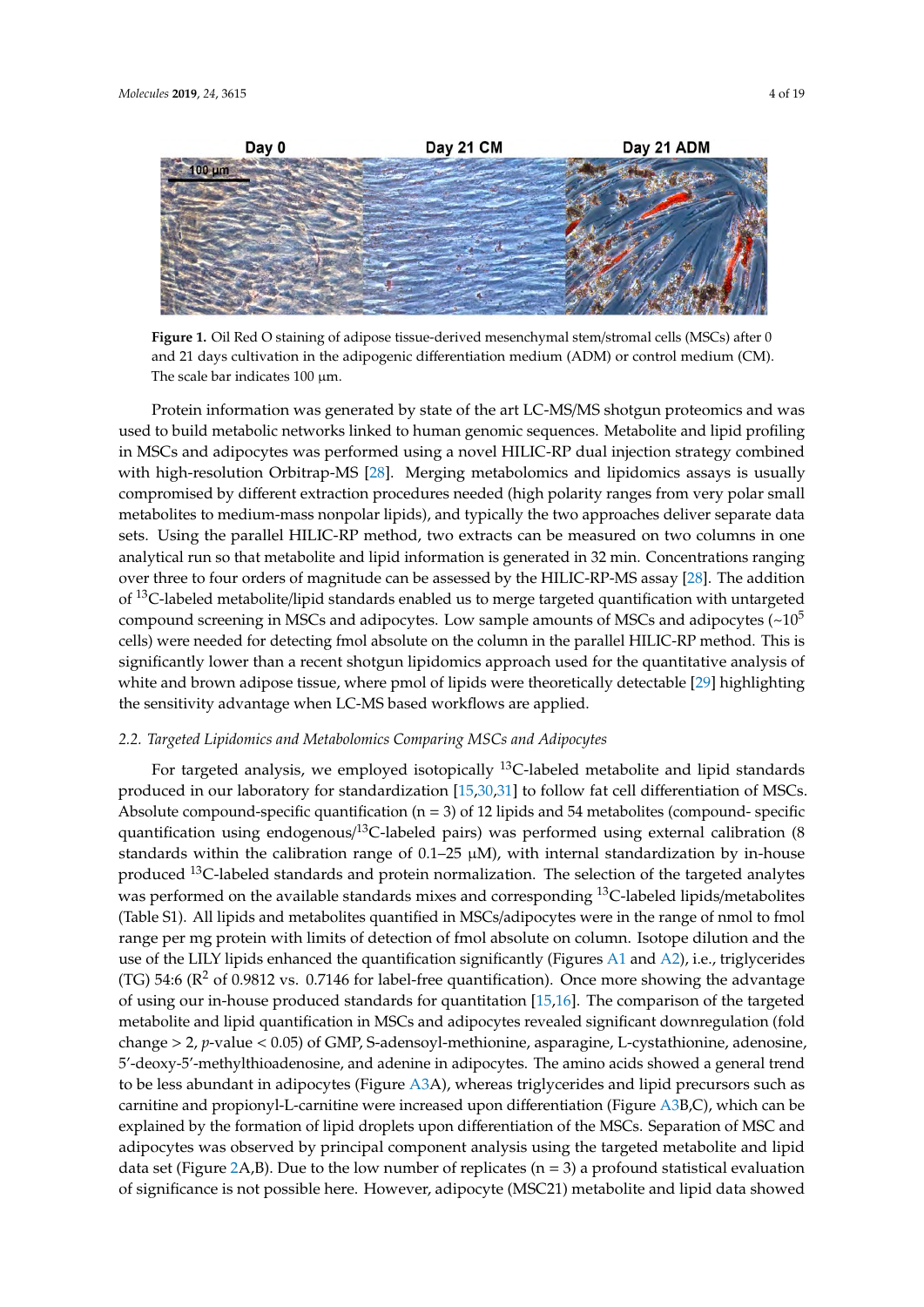<span id="page-3-0"></span>

**Figure 1.** Oil Red O staining of adipose tissue-derived mesenchymal stem/stromal cells (MSCs) after 0 and 21 days cultivation in the adipogenic differentiation medium (ADM) or control medium (CM). The scale bar indicates  $100 \mu m$ .

Protein information was generated by state of the art LC-MS/MS shotgun proteomics and was used to build metabolic networks linked to human genomic sequences. Metabolite and lipid profiling in MSCs and adipocytes was performed using a novel HILIC-RP dual injection strategy combined with high-resolution Orbitrap-MS [\[28\]](#page-16-11). Merging metabolomics and lipidomics assays is usually compromised by different extraction procedures needed (high polarity ranges from very polar small metabolites to medium-mass nonpolar lipids), and typically the two approaches deliver separate data sets. Using the parallel HILIC-RP method, two extracts can be measured on two columns in one analytical run so that metabolite and lipid information is generated in 32 min. Concentrations ranging over three to four orders of magnitude can be assessed by the HILIC-RP-MS assay [\[28\]](#page-16-11). The addition of <sup>13</sup>C-labeled metabolite/lipid standards enabled us to merge targeted quantification with untargeted compound screening in MSCs and adipocytes. Low sample amounts of MSCs and adipocytes  $\left(\sim 10^5\right)$ cells) were needed for detecting fmol absolute on the column in the parallel HILIC-RP method. This is significantly lower than a recent shotgun lipidomics approach used for the quantitative analysis of white and brown adipose tissue, where pmol of lipids were theoretically detectable [\[29\]](#page-16-12) highlighting the sensitivity advantage when LC-MS based workflows are applied.

#### *2.2. Targeted Lipidomics and Metabolomics Comparing MSCs and Adipocytes*

For targeted analysis, we employed isotopically  $^{13}$ C-labeled metabolite and lipid standards produced in our laboratory for standardization [\[15](#page-16-0)[,30](#page-16-13)[,31\]](#page-16-14) to follow fat cell differentiation of MSCs. Absolute compound-specific quantification  $(n = 3)$  of 12 lipids and 54 metabolites (compound-specific quantification using endogenous/<sup>13</sup>C-labeled pairs) was performed using external calibration (8 standards within the calibration range of  $0.1-25 \mu M$ ), with internal standardization by in-house produced <sup>13</sup>C-labeled standards and protein normalization. The selection of the targeted analytes was performed on the available standards mixes and corresponding <sup>13</sup>C-labeled lipids/metabolites (Table S1). All lipids and metabolites quantified in MSCs/adipocytes were in the range of nmol to fmol range per mg protein with limits of detection of fmol absolute on column. Isotope dilution and the use of the LILY lipids enhanced the quantification significantly (Figures [A1](#page-11-0) and [A2\)](#page-11-1), i.e., triglycerides (TG) 54:6 ( $\mathbb{R}^2$  of 0.9812 vs. 0.7146 for label-free quantification). Once more showing the advantage of using our in-house produced standards for quantitation [\[15,](#page-16-0)[16\]](#page-16-1). The comparison of the targeted metabolite and lipid quantification in MSCs and adipocytes revealed significant downregulation (fold change > 2, *p*-value < 0.05) of GMP, S-adensoyl-methionine, asparagine, L-cystathionine, adenosine, 5'-deoxy-5'-methylthioadenosine, and adenine in adipocytes. The amino acids showed a general trend to be less abundant in adipocytes (Figure [A3A](#page-12-0)), whereas triglycerides and lipid precursors such as carnitine and propionyl-L-carnitine were increased upon differentiation (Figure [A3B](#page-12-0),C), which can be explained by the formation of lipid droplets upon differentiation of the MSCs. Separation of MSC and adipocytes was observed by principal component analysis using the targeted metabolite and lipid data set (Figure [2A](#page-4-0),B). Due to the low number of replicates ( $n = 3$ ) a profound statistical evaluation of significance is not possible here. However, adipocyte (MSC21) metabolite and lipid data showed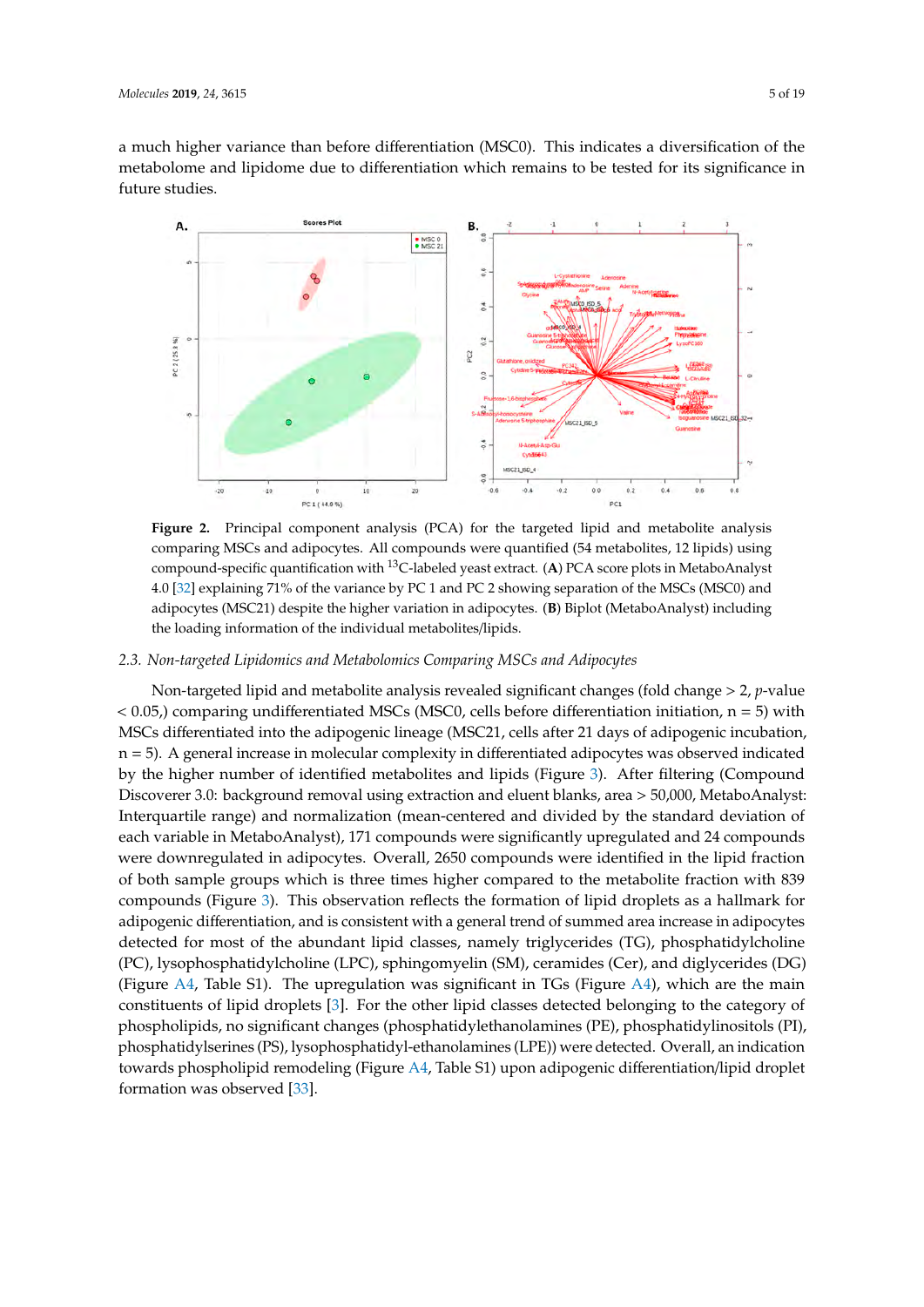a much higher variance than before differentiation (MSC0). This indicates a diversification of the metabolome and lipidome due to differentiation which remains to be tested for its significance in future studies. **2019,** *2019, 2019, 2029, 2029, 2029, 2029, 2029, 2029, 2029, 2029, 2029, 2029, 2029, 2029, 2029, 2029, 2029, 2029, 2029, 2029, 2029, 2029, 2029, 2029, 2029, 2029, 2029, 2029, 2029, 2029, 2029, 2029, 2029, 2029, 2029, 2029* 

<span id="page-4-0"></span>

**Figure 2.** Principal component analysis (PCA) for the targeted lipid and metabolite analysis Figure 2. Principal component analysis (PCA) for the targeted lipid and metabolite analysis comparing MSCs and adipocytes. All compounds were quantified (54 metabolites, 12 lipids) using compound-specific quantification with 13C-labeled yeast extract. **A**. PCA score plots in MetaboAnalyst compound-specific quantification with <sup>13</sup>C-labeled yeast extract. (**A**) PCA score plots in MetaboAnalyst 4.0 [32] explaining 71% of the variance by PC 1 and PC 2 showing separation of the MSCs (MSC0) and 4.0 [\[32\]](#page-17-0) explaining 71% of the variance by PC 1 and PC 2 showing separation of the MSCs (MSC0) and adipocytes (MSC21) despite the higher variation in adipocytes. **B**. Biplot (MetaboAnalyst) including adipocytes (MSC21) despite the higher variation in adipocytes. (**B**) Biplot (MetaboAnalyst) including the loading information of the individual metabolites/lipids. the loading information of the individual metabolites/lipids.

## *2.3. Non-targeted Lipidomics and Metabolomics Comparing MSCs and Adipocytes 2.3. Non-targeted Lipidomics and Metabolomics Comparing MSCs and Adipocytes*

Non-targeted lipid and metabolite analysis revealed significant changes (fold change > 2, *p*-value < 0.05,) comparing undifferentiated MSCs (MSC0, cells before differentiation initiation, n = 5) with  $\sim 0.05$ , life and  $\sim 0.05$  and  $\sim 0.000$  and  $\sim 0.000$  and  $\sim 0.000$  and  $\sim 0.000$  and  $\sim 0.000$  and  $\sim 0.000$  and  $\sim 0.000$  and  $\sim 0.000$  and  $\sim 0.000$  and  $\sim 0.000$  and  $\sim 0.000$  and  $\sim 0.000$  and  $\sim 0.0$ MSCs differentiated into the adipogenic lineage (MSC21, cells after 21 days of adipogenic incubation, MSCs differentiated into the adipogenic lineage (MSC21, cells after 21 days of adipogenic incubation,  $n = 5$ ). A general increase in molecular complexity in differentiated adipocytes was observed indicated  $n = 1$ by the higher number of identified metabolites and lipids (Figure [3\)](#page-5-0). After filtering (Compound<br>
by the higher number of identified metabolites and lipids (Figure 3). After filtering (Compound Discoverer 3.0: background removal using extraction and eluent blanks, area > 50,000, MetaboAnalyst: metaboarana range) and normalization (mean-centered and divided by the standard deviation of each variable in MetaboAnalyst), 171 compounds were significantly upregulated and 24 compounds each variable in were downregulated in adipocytes. Overall, 2650 compounds were identified in the lipid fraction<br>were identified in the lipid fraction of both sample groups which is three times higher compared to the metabolite fraction with 839 compounds (Figure [3\)](#page-5-0). This observation reflects the formation of lipid droplets as a hallmark for the compounds of the compounds of the compounds of the compounds of the compounds of the compounds of the compounds of the c adipogenic differentiation, and is consistent with a general trend of summed area increase in adipogenic differentiation, and is consistent with a general trend of summed area increase in adipocytes detected for most of the abundant lipid classes, namely triglycerides (TG), prosphatidylcholine (PC), lysophosphatidylcholine (LPC), sphingomyelin (SM), ceramides (Cer), and diglycerides (DG)  $p_{\text{c}}(\text{c})$ , lysophosphatidylcholine  $(\text{c})$ , sphingomyelin  $(\text{c})$ , ceramides  $(\text{c})$ , and digiyechides  $(\text{c})$ , (Figure [A4,](#page-12-1) Table S1). The upregulation was significant in TGs (Figure [A4\)](#page-12-1), which are the main  $\cdots$ constituents of lipid droplets [\[3\]](#page-15-11). For the other lipid classes detected belonging to the category of phospholipids, no significant changes (phosphatidylethanolamines (PE), phosphatidylinositols (PI), phosphatidylinositols (PI), phosphatidylserines (PS), lysophosphatidyl-ethanolamines (LPE)) were detected. Overall, an indication<br>Listen del distribution del distribution del matter del distribution del distribution del distribution del dis towards phospholipid remodeling (Figure [A4,](#page-12-1) Table S1) upon adipogenic differentiation/lipid droplet formation was observed  $[33]$ . Non-targeted lipid and metabolite analysis revealed significant changes (fold change > 2, *p*-value Interquartile range) and normalization (mean-centered and divided by the standard deviation of detected for most of the abundant lipid classes, namely triglycerides (TG), phosphatidylcholine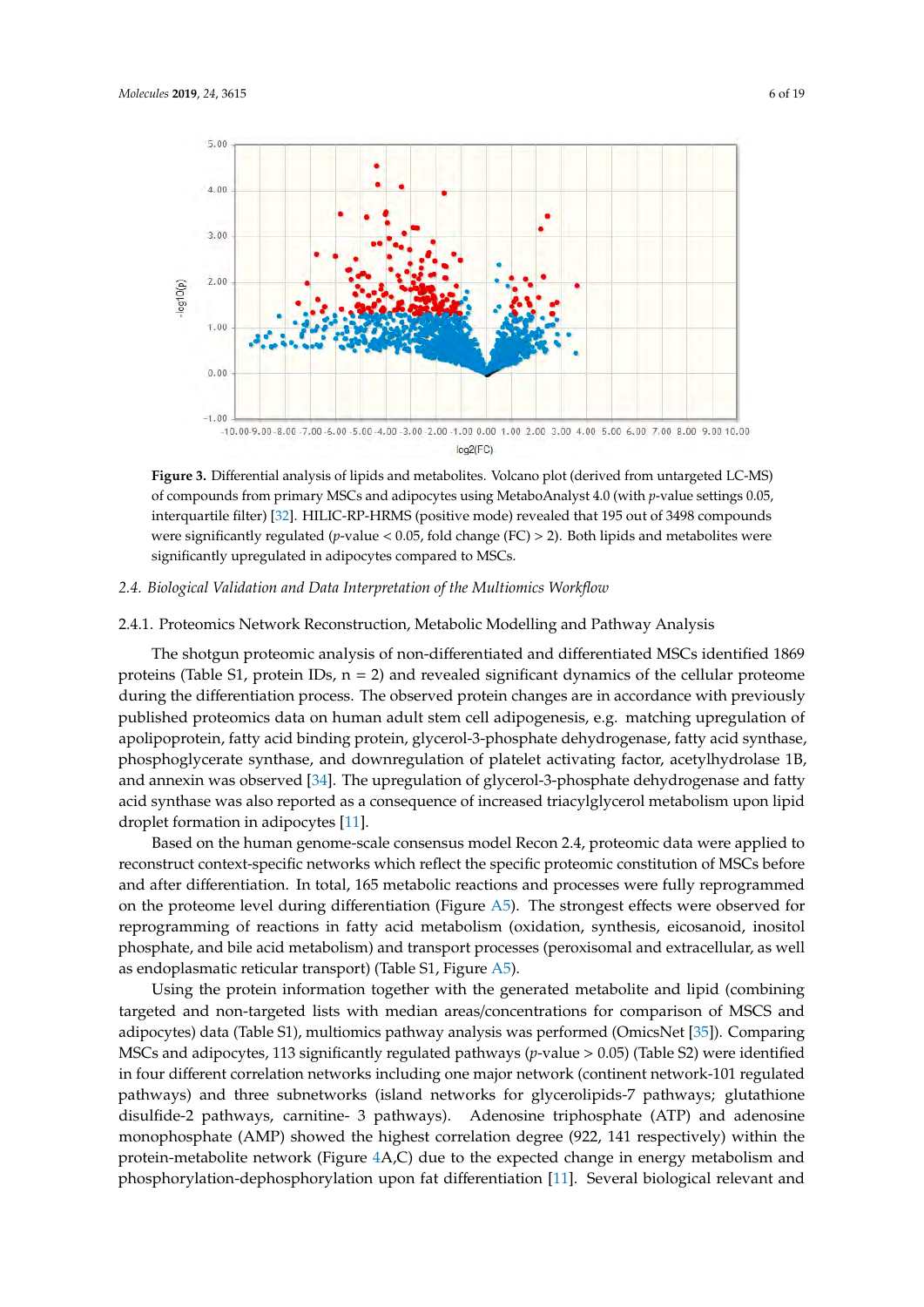<span id="page-5-0"></span>

**Figure 3.** Differential analysis of lipids and metabolites. Volcano plot (derived from untargeted LC-**Figure 3.** Differential analysis of lipids and metabolites. Volcano plot (derived from untargeted LC-MS) of compounds from primary MSCs and adipocytes using MetaboAnalyst 4.0 (with *p*-value settings 0.05, interquartile filter) [\[32\]](#page-17-0). HILIC-RP-HRMS (positive mode) revealed that 195 out of 3498 compounds compounds were significantly regulated (*p*-value < 0.05, fold change (FC) > 2). Both lipids and were significantly regulated (*p*-value < 0.05, fold change (FC) > 2). Both lipids and metabolites were significantly upregulated in adipocytes compared to MSCs.

## *2.4. Biological Validation and Data Interpretation of the Multiomics Workflow 2.4. Biological Validation and Data Interpretation of the Multiomics Workflow*

#### 2.4.1. Proteomics Network Reconstruction, Metabolic Modelling and Pathway Analysis

2.4.1. Proteomics Network Reconstruction, Metabolic Modelling and Pathway Analysis proteins (Table S1, protein IDs,  $n = 2$ ) and revealed significant dynamics of the cellular proteome during the differentiation process. The observed protein changes are in accordance with previously published proteomics data on human adult stem cell adipogenesis, e.g. matching upregulation of a<br>polipoprotein, fatty acid binding protein, glycerol-3-phosphate dehydrogenase, fatty acid synthase, phosphoglycerate synthase, and downregulation of platelet activating factor, acetylhydrolase 1B, and annexin was observed [\[34\]](#page-17-2). The upregulation of glycerol-3-phosphate dehydrogenase and fatty acid synthase was also reported as a consequence of increased triacylglycerol metabolism upon lipid droplet formation in adipocytes [\[11\]](#page-15-8). The shotgun proteomic analysis of non-differentiated and differentiated MSCs identified 1869

Based on the human genome-scale consensus model Recon 2.4, proteomic data were applied to reconstruct context-specific networks which reflect the specific proteomic constitution of MSCs before and after differentiation. In total, 165 metabolic reactions and processes were fully reprogrammed on the proteome level during differentiation (Figure [A5\)](#page-13-0). The strongest effects were observed for reprogramming of reactions in fatty acid metabolism (oxidation, synthesis, eicosanoid, inositol phosphate, and bile acid metabolism) and transport processes (peroxisomal and extracellular, as well as endoplasmatic reticular transport) (Table S1, Figure [A5\)](#page-13-0).

Using the protein information together with the generated metabolite and lipid (combining targeted and non-targeted lists with median areas/concentrations for comparison of MSCS and adipocytes) data (Table S1), multiomics pathway analysis was performed (OmicsNet [\[35\]](#page-17-3)). Comparing MSCs and adipocytes, 113 significantly regulated pathways (*p*-value > 0.05) (Table S2) were identified in four different correlation networks including one major network (continent network-101 regulated pathways) and three subnetworks (island networks for glycerolipids-7 pathways; glutathione disulfide-2 pathways, carnitine- 3 pathways). Adenosine triphosphate (ATP) and adenosine monophosphate (AMP) showed the highest correlation degree (922, 141 respectively) within the protein-metabolite network (Figure [4A](#page-6-0),C) due to the expected change in energy metabolism and n<br>phosphorylation-dephosphorylation upon fat differentiation [\[11\]](#page-15-8). Several biological relevant and

metabolism and phosphorylation-dephosphorylation upon fat differentiation [11]. Several biological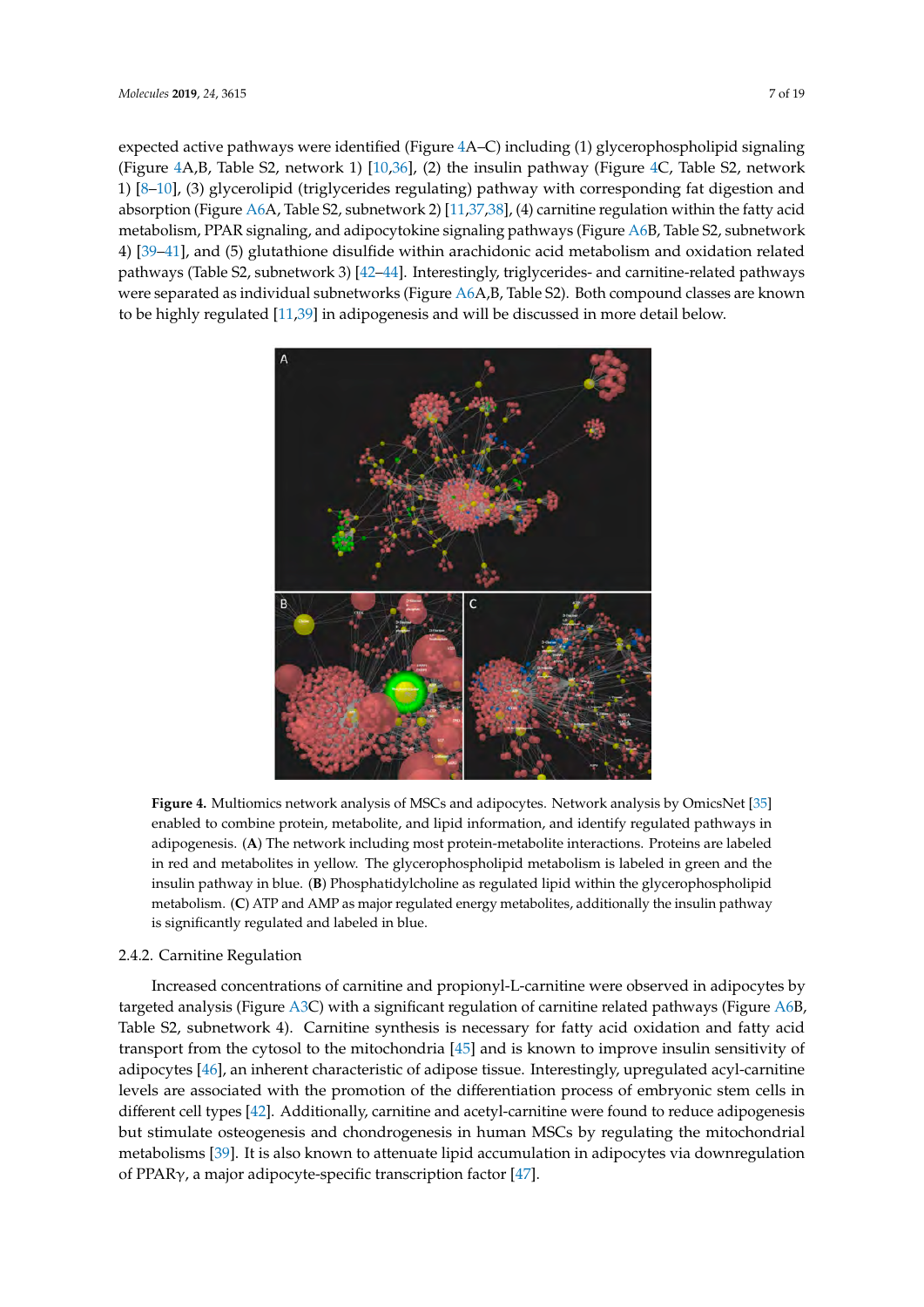expected active pathways were identified (Figure 4A–C) including (1) glycerophospholipid signaling (Figure  $4A,B$ , Table S2, network 1)  $[10,36]$  $[10,36]$ , (2) the ins[ul](#page-6-0)in pathway (Figure  $4C$ , Table S2, network 1)  $[8-10]$  $[8-10]$ , (3) glycerolipid (triglycerides regulating) pathway with corresponding fat digestion and absorption (Figure [A6A](#page-13-1), Table S2, subnetwork 2) [\[11](#page-15-8)[,37,](#page-17-5)[38\]](#page-17-6), (4) carnitine regulation within the fatty acid metabolism, PPAR signaling, and adipocytokine signaling pathways (Figure [A6B](#page-13-1), Table S2, subnetwork 4) [\[39](#page-17-7)[–41\]](#page-17-8), and (5) glutathione disulfide within arachidonic acid metabolism and oxidation related pathways (Table S2, subnetwork 3) [\[42–](#page-17-9)[44\]](#page-17-10). Interestingly, triglycerides- and carnitine-related pathways were separated as individual subnetworks (Figure  $\Delta 6$ A,B, Table S2). Both compound classes are known to be highly regulated [\[11](#page-15-8)[,39\]](#page-17-7) in adipogenesis and will be discussed in more detail below. [11,39] in adipogenesis and will be discussed in more detail below.

<span id="page-6-0"></span>

**Figure 4.** Multiomics network analysis of MSCs and adipocytes. Network analysis by OmicsNet[35] **Figure 4.** Multiomics network analysis of MSCs and adipocytes. Network analysis by OmicsNet [\[35\]](#page-17-3) enabled to combine protein, metabolite, and lipid information, and identify regulated pathways in enabled to combine protein, metabolite, and lipid information, and identify regulated pathways in adipogenesis. (A) The network including most protein-metabolite interactions. Proteins are labeled in red and metabolites in yellow. The glycerophospholipid metabolism is labeled in green and the insulin pathway in blue. **B**. Phosphatidylcholine as regulated lipid within the glycerophospholipid insulin pathway in blue. (**B**) Phosphatidylcholine as regulated lipid within the glycerophospholipid metabolism. **C**. ATP and AMP as major regulated energy metabolites, additionally the insulin metabolism. (**C**) ATP and AMP as major regulated energy metabolites, additionally the insulin pathway is significantly regulated and labeled in blue.

### 2.4.2. Carnitine Regulation 2.4.2. Carnitine Regulation

Increased concentrations of carnitine and propionyl-L-carnitine were observed in adipocytes by Increased concentrations of carnitine and propionyl-L-carnitine were observed in adipocytes by targeted analysis (Figure [A3C](#page-12-0)) with a significant regulation of carnitine related pathways (Figure [A6B](#page-13-1), A6. B, Table S2, subnetwork 4). Carnitine synthesis is necessary for fatty acid oxidation and fatty acid Table S2, subnetwork 4). Carnitine synthesis is necessary for fatty acid oxidation and fatty acid transport from the cytosol to the mitochondria [45] and is known to improve insulin sensitivity of transport from the cytosol to the mitochondria [\[45\]](#page-17-11) and is known to improve insulin sensitivity of adipocytes [46], an inherent characteristic of adipose tissue. Interestingly, upregulated acyl-carnitine adipocytes [\[46\]](#page-17-12), an inherent characteristic of adipose tissue. Interestingly, upregulated acyl-carnitine levels are associated with the promotion of the differentiation process of embryonic stem cells in levels are associated with the promotion of the differentiation process of embryonic stem cells in different cell types [42]. Additionally, carnitine and acetyl-carnitine were found to reduce different cell types [\[42\]](#page-17-9). Additionally, carnitine and acetyl-carnitine were found to reduce adipogenesis but stimulate osteogenesis and chondrogenesis in human MSCs by regulating the mitochondrial metabolisms [\[39\]](#page-17-7). It is also known to attenuate lipid accumulation in adipocytes via downregulation of PPARγ, a major adipocyte-specific transcription factor [\[47\]](#page-17-13).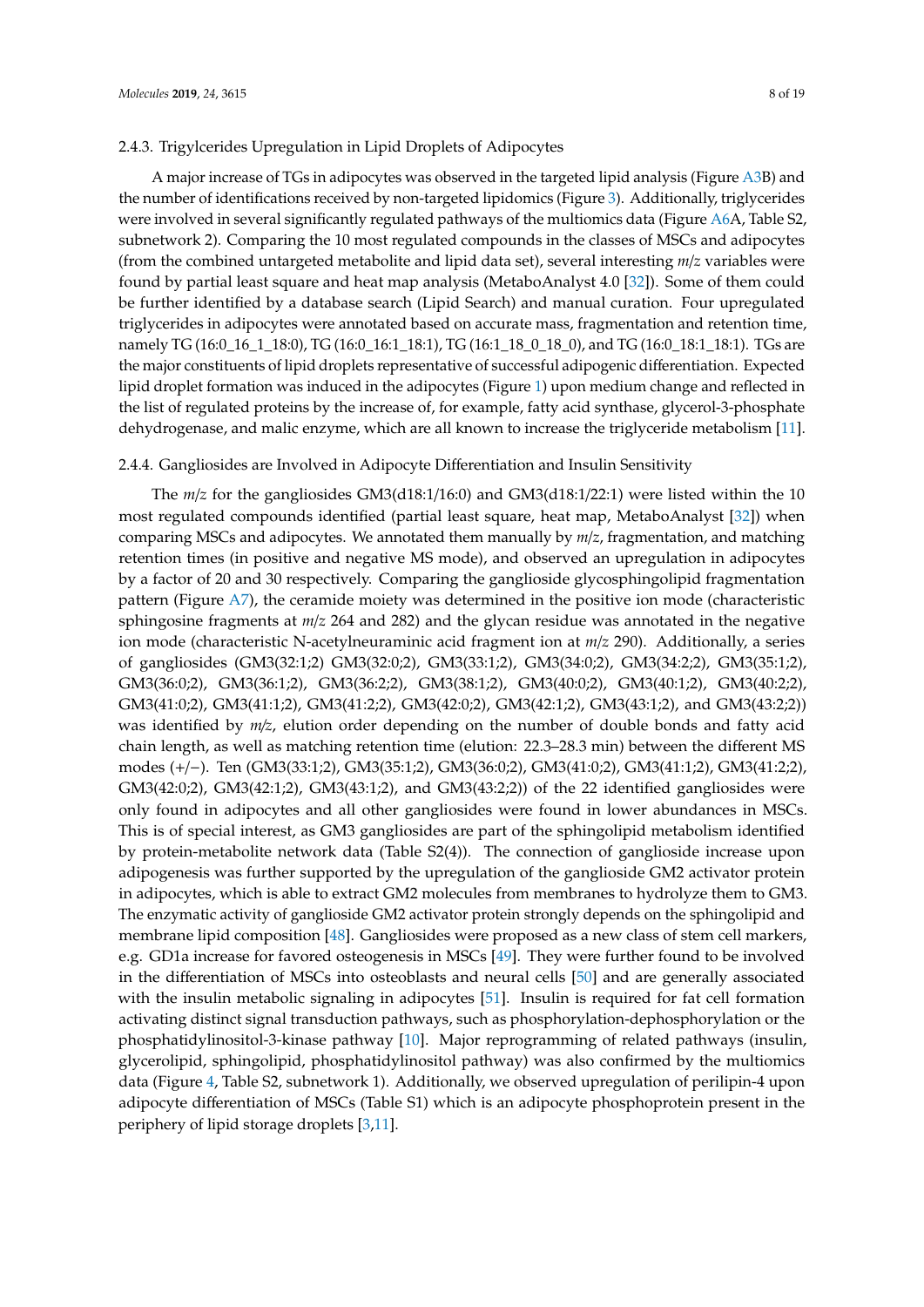#### 2.4.3. Trigylcerides Upregulation in Lipid Droplets of Adipocytes

A major increase of TGs in adipocytes was observed in the targeted lipid analysis (Figure [A3B](#page-12-0)) and the number of identifications received by non-targeted lipidomics (Figure [3\)](#page-5-0). Additionally, triglycerides were involved in several significantly regulated pathways of the multiomics data (Figure [A6A](#page-13-1), Table S2, subnetwork 2). Comparing the 10 most regulated compounds in the classes of MSCs and adipocytes (from the combined untargeted metabolite and lipid data set), several interesting *m*/*z* variables were found by partial least square and heat map analysis (MetaboAnalyst 4.0 [\[32\]](#page-17-0)). Some of them could be further identified by a database search (Lipid Search) and manual curation. Four upregulated triglycerides in adipocytes were annotated based on accurate mass, fragmentation and retention time, namely TG (16:0\_16\_1\_18:0), TG (16:0\_16:1\_18:1), TG (16:1\_18\_0\_18\_0), and TG (16:0\_18:1\_18:1). TGs are the major constituents of lipid droplets representative of successful adipogenic differentiation. Expected lipid droplet formation was induced in the adipocytes (Figure [1\)](#page-3-0) upon medium change and reflected in the list of regulated proteins by the increase of, for example, fatty acid synthase, glycerol-3-phosphate dehydrogenase, and malic enzyme, which are all known to increase the triglyceride metabolism [\[11\]](#page-15-8).

#### 2.4.4. Gangliosides are Involved in Adipocyte Differentiation and Insulin Sensitivity

The *m*/*z* for the gangliosides GM3(d18:1/16:0) and GM3(d18:1/22:1) were listed within the 10 most regulated compounds identified (partial least square, heat map, MetaboAnalyst [\[32\]](#page-17-0)) when comparing MSCs and adipocytes. We annotated them manually by *m*/*z*, fragmentation, and matching retention times (in positive and negative MS mode), and observed an upregulation in adipocytes by a factor of 20 and 30 respectively. Comparing the ganglioside glycosphingolipid fragmentation pattern (Figure  $\Delta$ 7), the ceramide moiety was determined in the positive ion mode (characteristic sphingosine fragments at *m*/*z* 264 and 282) and the glycan residue was annotated in the negative ion mode (characteristic N-acetylneuraminic acid fragment ion at *m*/*z* 290). Additionally, a series of gangliosides (GM3(32:1;2) GM3(32:0;2), GM3(33:1;2), GM3(34:0;2), GM3(34:2;2), GM3(35:1;2), GM3(36:0;2), GM3(36:1;2), GM3(36:2;2), GM3(38:1;2), GM3(40:0;2), GM3(40:1;2), GM3(40:2;2), GM3(41:0;2), GM3(41:1;2), GM3(41:2;2), GM3(42:0;2), GM3(42:1;2), GM3(43:1;2), and GM3(43:2;2)) was identified by *m*/*z*, elution order depending on the number of double bonds and fatty acid chain length, as well as matching retention time (elution: 22.3–28.3 min) between the different MS modes (+/−). Ten (GM3(33:1;2), GM3(35:1;2), GM3(36:0;2), GM3(41:0;2), GM3(41:1;2), GM3(41:2;2), GM3(42:0;2), GM3(42:1;2), GM3(43:1;2), and GM3(43:2;2)) of the 22 identified gangliosides were only found in adipocytes and all other gangliosides were found in lower abundances in MSCs. This is of special interest, as GM3 gangliosides are part of the sphingolipid metabolism identified by protein-metabolite network data (Table S2(4)). The connection of ganglioside increase upon adipogenesis was further supported by the upregulation of the ganglioside GM2 activator protein in adipocytes, which is able to extract GM2 molecules from membranes to hydrolyze them to GM3. The enzymatic activity of ganglioside GM2 activator protein strongly depends on the sphingolipid and membrane lipid composition [\[48\]](#page-17-14). Gangliosides were proposed as a new class of stem cell markers, e.g. GD1a increase for favored osteogenesis in MSCs [\[49\]](#page-17-15). They were further found to be involved in the differentiation of MSCs into osteoblasts and neural cells [\[50\]](#page-17-16) and are generally associated with the insulin metabolic signaling in adipocytes [\[51\]](#page-17-17). Insulin is required for fat cell formation activating distinct signal transduction pathways, such as phosphorylation-dephosphorylation or the phosphatidylinositol-3-kinase pathway [\[10\]](#page-15-7). Major reprogramming of related pathways (insulin, glycerolipid, sphingolipid, phosphatidylinositol pathway) was also confirmed by the multiomics data (Figure [4,](#page-6-0) Table S2, subnetwork 1). Additionally, we observed upregulation of perilipin-4 upon adipocyte differentiation of MSCs (Table S1) which is an adipocyte phosphoprotein present in the periphery of lipid storage droplets [\[3,](#page-15-11)[11\]](#page-15-8).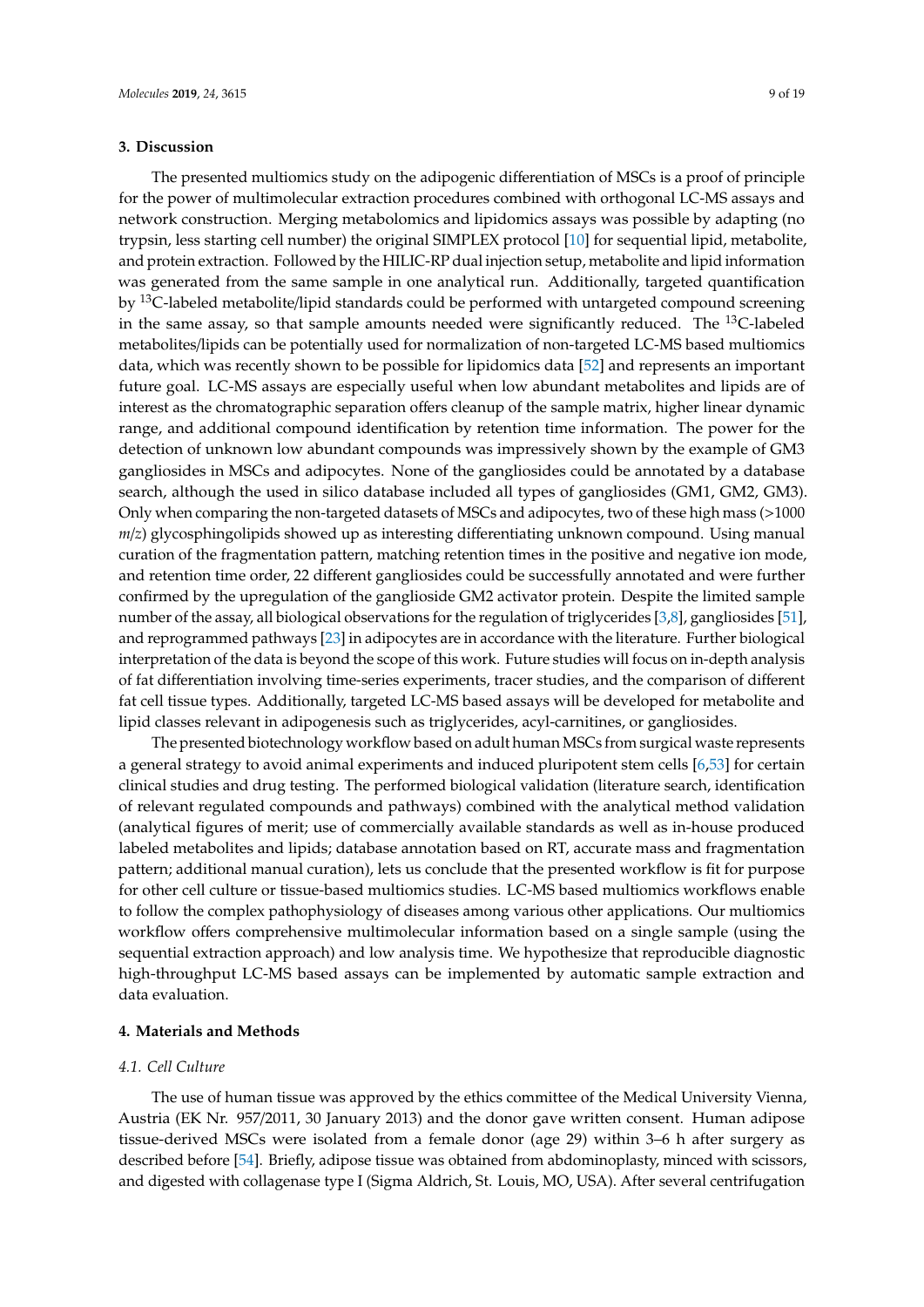#### **3. Discussion**

The presented multiomics study on the adipogenic differentiation of MSCs is a proof of principle for the power of multimolecular extraction procedures combined with orthogonal LC-MS assays and network construction. Merging metabolomics and lipidomics assays was possible by adapting (no trypsin, less starting cell number) the original SIMPLEX protocol [\[10\]](#page-15-7) for sequential lipid, metabolite, and protein extraction. Followed by the HILIC-RP dual injection setup, metabolite and lipid information was generated from the same sample in one analytical run. Additionally, targeted quantification by <sup>13</sup>C-labeled metabolite/lipid standards could be performed with untargeted compound screening in the same assay, so that sample amounts needed were significantly reduced. The  $^{13}$ C-labeled metabolites/lipids can be potentially used for normalization of non-targeted LC-MS based multiomics data, which was recently shown to be possible for lipidomics data [\[52\]](#page-17-18) and represents an important future goal. LC-MS assays are especially useful when low abundant metabolites and lipids are of interest as the chromatographic separation offers cleanup of the sample matrix, higher linear dynamic range, and additional compound identification by retention time information. The power for the detection of unknown low abundant compounds was impressively shown by the example of GM3 gangliosides in MSCs and adipocytes. None of the gangliosides could be annotated by a database search, although the used in silico database included all types of gangliosides (GM1, GM2, GM3). Only when comparing the non-targeted datasets of MSCs and adipocytes, two of these high mass (>1000 *m*/*z*) glycosphingolipids showed up as interesting differentiating unknown compound. Using manual curation of the fragmentation pattern, matching retention times in the positive and negative ion mode, and retention time order, 22 different gangliosides could be successfully annotated and were further confirmed by the upregulation of the ganglioside GM2 activator protein. Despite the limited sample number of the assay, all biological observations for the regulation of triglycerides [\[3](#page-15-11)[,8\]](#page-15-6), gangliosides [\[51\]](#page-17-17), and reprogrammed pathways [\[23\]](#page-16-6) in adipocytes are in accordance with the literature. Further biological interpretation of the data is beyond the scope of this work. Future studies will focus on in-depth analysis of fat differentiation involving time-series experiments, tracer studies, and the comparison of different fat cell tissue types. Additionally, targeted LC-MS based assays will be developed for metabolite and lipid classes relevant in adipogenesis such as triglycerides, acyl-carnitines, or gangliosides.

The presented biotechnology workflow based on adult human MSCs from surgical waste represents a general strategy to avoid animal experiments and induced pluripotent stem cells [\[6,](#page-15-3)[53\]](#page-17-19) for certain clinical studies and drug testing. The performed biological validation (literature search, identification of relevant regulated compounds and pathways) combined with the analytical method validation (analytical figures of merit; use of commercially available standards as well as in-house produced labeled metabolites and lipids; database annotation based on RT, accurate mass and fragmentation pattern; additional manual curation), lets us conclude that the presented workflow is fit for purpose for other cell culture or tissue-based multiomics studies. LC-MS based multiomics workflows enable to follow the complex pathophysiology of diseases among various other applications. Our multiomics workflow offers comprehensive multimolecular information based on a single sample (using the sequential extraction approach) and low analysis time. We hypothesize that reproducible diagnostic high-throughput LC-MS based assays can be implemented by automatic sample extraction and data evaluation.

#### **4. Materials and Methods**

#### *4.1. Cell Culture*

The use of human tissue was approved by the ethics committee of the Medical University Vienna, Austria (EK Nr. 957/2011, 30 January 2013) and the donor gave written consent. Human adipose tissue-derived MSCs were isolated from a female donor (age 29) within 3–6 h after surgery as described before [\[54\]](#page-18-0). Briefly, adipose tissue was obtained from abdominoplasty, minced with scissors, and digested with collagenase type I (Sigma Aldrich, St. Louis, MO, USA). After several centrifugation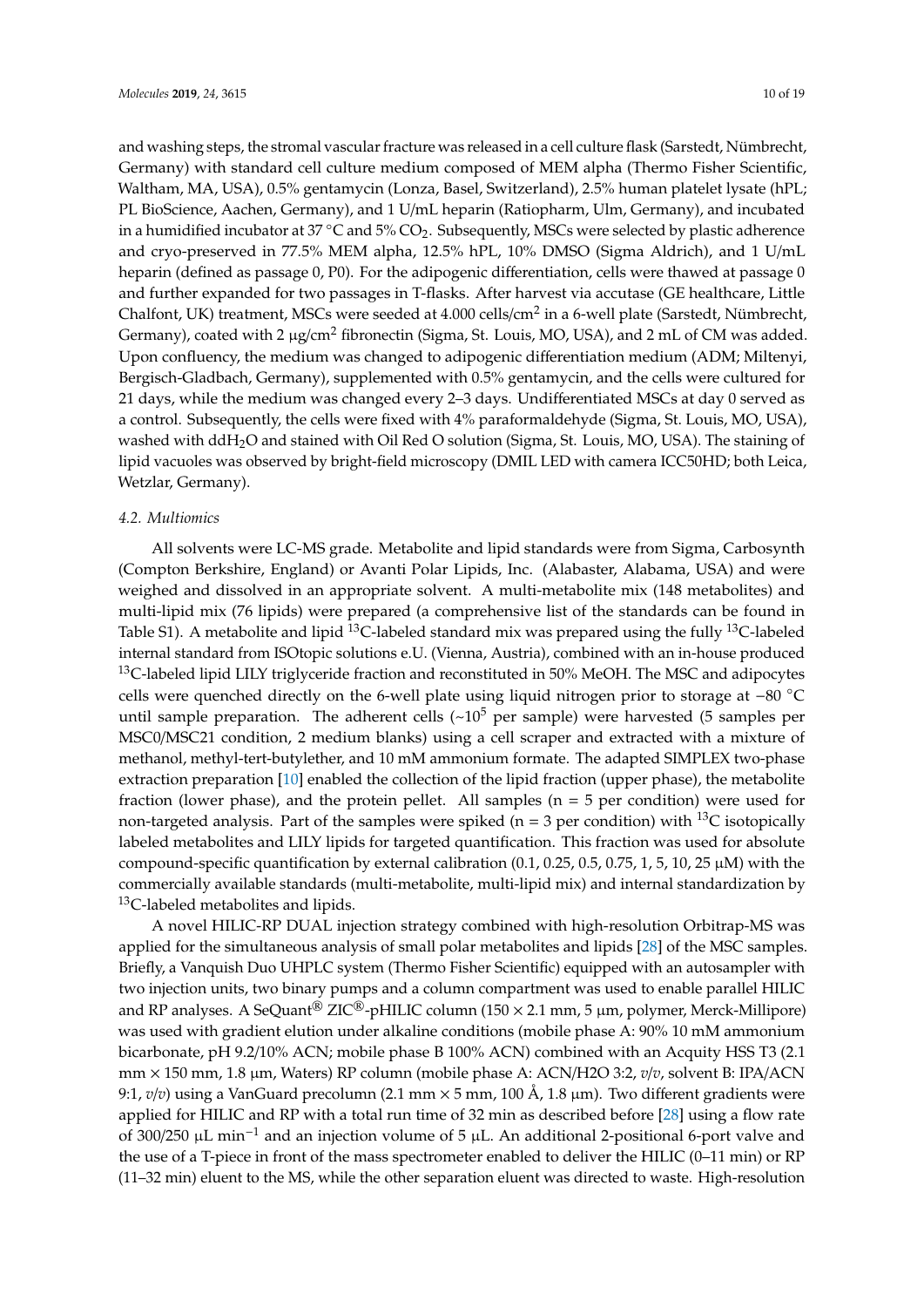and washing steps, the stromal vascular fracture was released in a cell culture flask (Sarstedt, Nümbrecht, Germany) with standard cell culture medium composed of MEM alpha (Thermo Fisher Scientific, Waltham, MA, USA), 0.5% gentamycin (Lonza, Basel, Switzerland), 2.5% human platelet lysate (hPL; PL BioScience, Aachen, Germany), and 1 U/mL heparin (Ratiopharm, Ulm, Germany), and incubated in a humidified incubator at 37  $\degree$ C and 5% CO<sub>2</sub>. Subsequently, MSCs were selected by plastic adherence and cryo-preserved in 77.5% MEM alpha, 12.5% hPL, 10% DMSO (Sigma Aldrich), and 1 U/mL heparin (defined as passage 0, P0). For the adipogenic differentiation, cells were thawed at passage 0 and further expanded for two passages in T-flasks. After harvest via accutase (GE healthcare, Little Chalfont, UK) treatment, MSCs were seeded at 4.000 cells/cm<sup>2</sup> in a 6-well plate (Sarstedt, Nümbrecht, Germany), coated with 2 µg/cm<sup>2</sup> fibronectin (Sigma, St. Louis, MO, USA), and 2 mL of CM was added. Upon confluency, the medium was changed to adipogenic differentiation medium (ADM; Miltenyi, Bergisch-Gladbach, Germany), supplemented with 0.5% gentamycin, and the cells were cultured for 21 days, while the medium was changed every 2–3 days. Undifferentiated MSCs at day 0 served as a control. Subsequently, the cells were fixed with 4% paraformaldehyde (Sigma, St. Louis, MO, USA), washed with ddH2O and stained with Oil Red O solution (Sigma, St. Louis, MO, USA). The staining of lipid vacuoles was observed by bright-field microscopy (DMIL LED with camera ICC50HD; both Leica, Wetzlar, Germany).

#### *4.2. Multiomics*

All solvents were LC-MS grade. Metabolite and lipid standards were from Sigma, Carbosynth (Compton Berkshire, England) or Avanti Polar Lipids, Inc. (Alabaster, Alabama, USA) and were weighed and dissolved in an appropriate solvent. A multi-metabolite mix (148 metabolites) and multi-lipid mix (76 lipids) were prepared (a comprehensive list of the standards can be found in Table S1). A metabolite and lipid <sup>13</sup>C-labeled standard mix was prepared using the fully <sup>13</sup>C-labeled internal standard from ISOtopic solutions e.U. (Vienna, Austria), combined with an in-house produced  $^{13}$ C-labeled lipid LILY triglyceride fraction and reconstituted in 50% MeOH. The MSC and adipocytes cells were quenched directly on the 6-well plate using liquid nitrogen prior to storage at −80 ◦C until sample preparation. The adherent cells  $({\sim}10^5$  per sample) were harvested (5 samples per MSC0/MSC21 condition, 2 medium blanks) using a cell scraper and extracted with a mixture of methanol, methyl-tert-butylether, and 10 mM ammonium formate. The adapted SIMPLEX two-phase extraction preparation [\[10\]](#page-15-7) enabled the collection of the lipid fraction (upper phase), the metabolite fraction (lower phase), and the protein pellet. All samples ( $n = 5$  per condition) were used for non-targeted analysis. Part of the samples were spiked ( $n = 3$  per condition) with <sup>13</sup>C isotopically labeled metabolites and LILY lipids for targeted quantification. This fraction was used for absolute compound-specific quantification by external calibration (0.1, 0.25, 0.5, 0.75, 1, 5, 10, 25  $\mu$ M) with the commercially available standards (multi-metabolite, multi-lipid mix) and internal standardization by <sup>13</sup>C-labeled metabolites and lipids.

A novel HILIC-RP DUAL injection strategy combined with high-resolution Orbitrap-MS was applied for the simultaneous analysis of small polar metabolites and lipids [\[28\]](#page-16-11) of the MSC samples. Briefly, a Vanquish Duo UHPLC system (Thermo Fisher Scientific) equipped with an autosampler with two injection units, two binary pumps and a column compartment was used to enable parallel HILIC and RP analyses. A SeQuant<sup>®</sup> ZIC®-pHILIC column (150  $\times$  2.1 mm, 5 µm, polymer, Merck-Millipore) was used with gradient elution under alkaline conditions (mobile phase A: 90% 10 mM ammonium bicarbonate, pH 9.2/10% ACN; mobile phase B 100% ACN) combined with an Acquity HSS T3 (2.1 mm × 150 mm, 1.8 µm, Waters) RP column (mobile phase A: ACN/H2O 3:2, *v*/*v*, solvent B: IPA/ACN 9:1, *v*/*v*) using a VanGuard precolumn (2.1 mm × 5 mm, 100 Å, 1.8 µm). Two different gradients were applied for HILIC and RP with a total run time of 32 min as described before [\[28\]](#page-16-11) using a flow rate of 300/250 µL min−<sup>1</sup> and an injection volume of 5 µL. An additional 2-positional 6-port valve and the use of a T-piece in front of the mass spectrometer enabled to deliver the HILIC (0–11 min) or RP (11–32 min) eluent to the MS, while the other separation eluent was directed to waste. High-resolution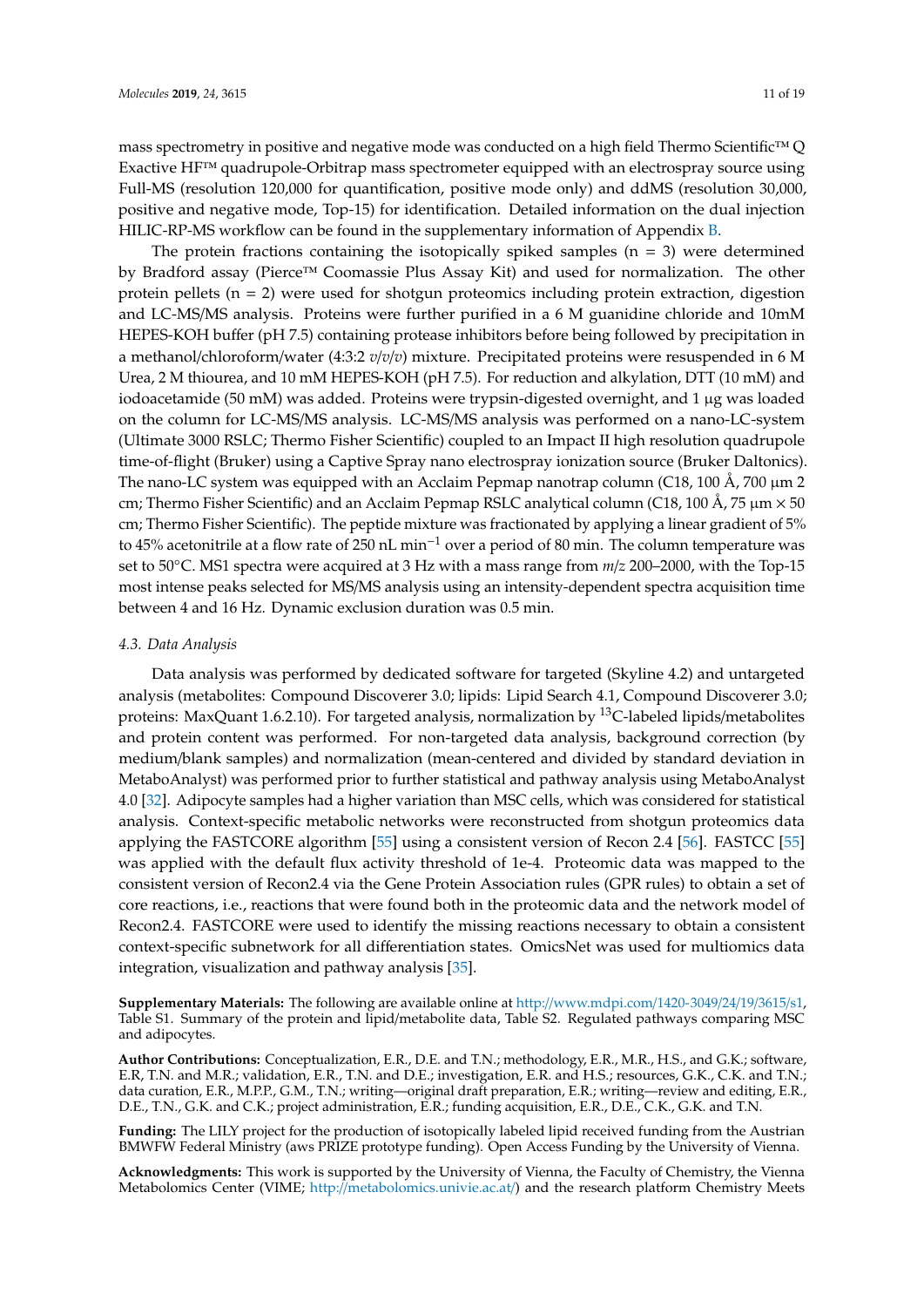mass spectrometry in positive and negative mode was conducted on a high field Thermo Scientific™ Q Exactive HF™ quadrupole-Orbitrap mass spectrometer equipped with an electrospray source using Full-MS (resolution 120,000 for quantification, positive mode only) and ddMS (resolution 30,000, positive and negative mode, Top-15) for identification. Detailed information on the dual injection HILIC-RP-MS workflow can be found in the supplementary information of Appendix [B.](#page-14-1)

The protein fractions containing the isotopically spiked samples  $(n = 3)$  were determined by Bradford assay (Pierce™ Coomassie Plus Assay Kit) and used for normalization. The other protein pellets ( $n = 2$ ) were used for shotgun proteomics including protein extraction, digestion and LC-MS/MS analysis. Proteins were further purified in a 6 M guanidine chloride and 10mM HEPES-KOH buffer (pH 7.5) containing protease inhibitors before being followed by precipitation in a methanol/chloroform/water (4:3:2 *v*/*v*/*v*) mixture. Precipitated proteins were resuspended in 6 M Urea, 2 M thiourea, and 10 mM HEPES-KOH (pH 7.5). For reduction and alkylation, DTT (10 mM) and iodoacetamide (50 mM) was added. Proteins were trypsin-digested overnight, and 1 µg was loaded on the column for LC-MS/MS analysis. LC-MS/MS analysis was performed on a nano-LC-system (Ultimate 3000 RSLC; Thermo Fisher Scientific) coupled to an Impact II high resolution quadrupole time-of-flight (Bruker) using a Captive Spray nano electrospray ionization source (Bruker Daltonics). The nano-LC system was equipped with an Acclaim Pepmap nanotrap column (C18, 100 Å, 700  $\mu$ m 2 cm; Thermo Fisher Scientific) and an Acclaim Pepmap RSLC analytical column (C18, 100 Å, 75  $\mu$ m  $\times$  50 cm; Thermo Fisher Scientific). The peptide mixture was fractionated by applying a linear gradient of 5% to 45% acetonitrile at a flow rate of 250 nL min−<sup>1</sup> over a period of 80 min. The column temperature was set to 50◦C. MS1 spectra were acquired at 3 Hz with a mass range from *m*/*z* 200–2000, with the Top-15 most intense peaks selected for MS/MS analysis using an intensity-dependent spectra acquisition time between 4 and 16 Hz. Dynamic exclusion duration was 0.5 min.

#### *4.3. Data Analysis*

Data analysis was performed by dedicated software for targeted (Skyline 4.2) and untargeted analysis (metabolites: Compound Discoverer 3.0; lipids: Lipid Search 4.1, Compound Discoverer 3.0; proteins: MaxQuant 1.6.2.10). For targeted analysis, normalization by <sup>13</sup>C-labeled lipids/metabolites and protein content was performed. For non-targeted data analysis, background correction (by medium/blank samples) and normalization (mean-centered and divided by standard deviation in MetaboAnalyst) was performed prior to further statistical and pathway analysis using MetaboAnalyst 4.0 [\[32\]](#page-17-0). Adipocyte samples had a higher variation than MSC cells, which was considered for statistical analysis. Context-specific metabolic networks were reconstructed from shotgun proteomics data applying the FASTCORE algorithm [\[55\]](#page-18-1) using a consistent version of Recon 2.4 [\[56\]](#page-18-2). FASTCC [\[55\]](#page-18-1) was applied with the default flux activity threshold of 1e-4. Proteomic data was mapped to the consistent version of Recon2.4 via the Gene Protein Association rules (GPR rules) to obtain a set of core reactions, i.e., reactions that were found both in the proteomic data and the network model of Recon2.4. FASTCORE were used to identify the missing reactions necessary to obtain a consistent context-specific subnetwork for all differentiation states. OmicsNet was used for multiomics data integration, visualization and pathway analysis [\[35\]](#page-17-3).

**Supplementary Materials:** The following are available online at http://[www.mdpi.com](http://www.mdpi.com/1420-3049/24/19/3615/s1)/1420-3049/24/19/3615/s1, Table S1. Summary of the protein and lipid/metabolite data, Table S2. Regulated pathways comparing MSC and adipocytes.

**Author Contributions:** Conceptualization, E.R., D.E. and T.N.; methodology, E.R., M.R., H.S., and G.K.; software, E.R, T.N. and M.R.; validation, E.R., T.N. and D.E.; investigation, E.R. and H.S.; resources, G.K., C.K. and T.N.; data curation, E.R., M.P.P., G.M., T.N.; writing—original draft preparation, E.R.; writing—review and editing, E.R., D.E., T.N., G.K. and C.K.; project administration, E.R.; funding acquisition, E.R., D.E., C.K., G.K. and T.N.

**Funding:** The LILY project for the production of isotopically labeled lipid received funding from the Austrian BMWFW Federal Ministry (aws PRIZE prototype funding). Open Access Funding by the University of Vienna.

**Acknowledgments:** This work is supported by the University of Vienna, the Faculty of Chemistry, the Vienna Metabolomics Center (VIME; http://[metabolomics.univie.ac.at](http://metabolomics.univie.ac.at/)/) and the research platform Chemistry Meets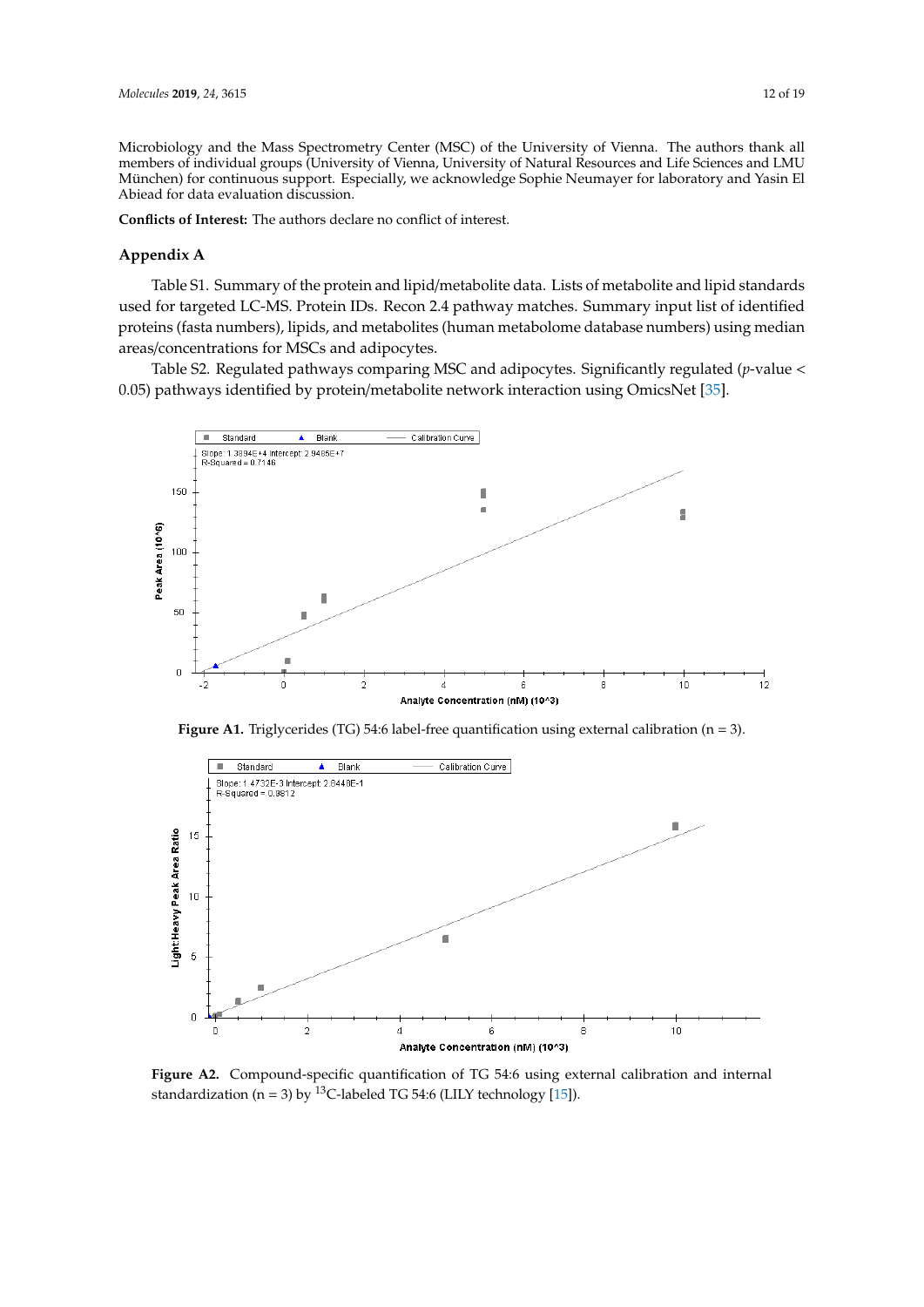Microbiology and the Mass Spectrometry Center (MSC) of the University of Vienna. The authors thank all members of individual groups (University of Vienna, University of Natural Resources and Life Sciences and LMU München) for continuous support. Especially, we acknowledge Sophie Neumayer for laboratory and Yasin El<br>Abjead for data evaluation discussion Abiead for data evaluation discussion.

Conflicts of Interest: The authors declare no conflict of interest.

#### **Appendix A** Appendix A Appendix A

Table S1. Summary of the protein and lipid/metabolite data. Lists of metabolite and lipid standards used for targeted LC-MS. Protein IDs. Recon 2.4 pathway matches. Summary input list of identified<br>proteins (fasta numbers) linids, and motebolites (human moteboleme database numbers) using modian proteins (fasta numbers), lipids, and metabolites (human metabolome database numbers) using median process (and nancers), space, and measures (namely measureme database namely) asing measure

Table S2. Regulated pathways comparing MSC and adipocytes. Significantly regulated (*p*-value <<br>0.05) pathways identified by protein/metabolite network interaction using OmicsNet [35]. 0.05) pathways identified by protein/metabolite network interaction using OmicsNet [\[35\]](#page-17-3).

<span id="page-11-0"></span>

<span id="page-11-1"></span>**Figure A1.** Triglycerides (TG) 54:6 label-free quantification using external calibration (n = 3).



standardization (n = 3) by <sup>13</sup>C-labeled TG 54:6 (LILY technology [15]). **Figure A2.** Compound-specific quantification of TG 54:6 using external calibration and internal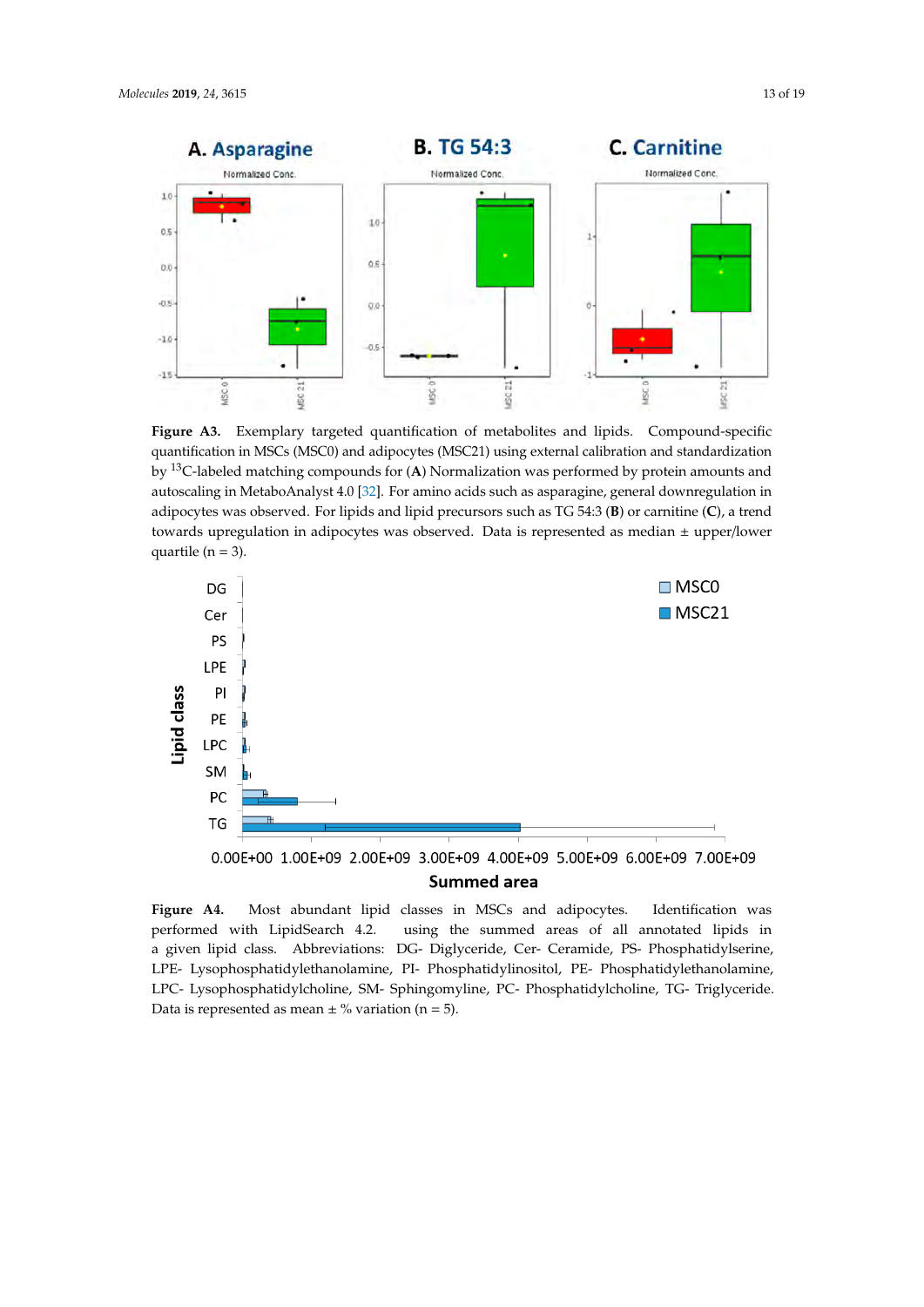<span id="page-12-0"></span>

**Figure A3.** Exemplary targeted quantification of metabolites and lipids. Compound-specific by <sup>13</sup>C-labeled matching compounds for (A) Normalization was performed by protein amounts and autoscaling in MetaboAnalyst 4.0 [\[32\]](#page-17-0). For amino acids such as asparagine, general downregulation in quantification in MSCs (MSC0) and adipocytes (MSC21) using external calibration and standardization adipocytes was observed. For lipids and lipid precursors such as TG 54:3 (**B**) or carnitine (**C**), a trend towards upregulation in adipocytes was observed. Data is represented as median  $\pm$  upper/lower quartile ( $n = 3$ ).

<span id="page-12-1"></span>

**Figure A4.** Most abundant lipid classes in MSCs and adipocytes. Identification was performed with LipidSearch 4.2. using the summed areas of all annotated lipids in a given lipid class. Abbreviations: DG- Diglyceride, Cer- Ceramide, PS- Phosphatidylserine, LPE- Lysophosphatidylethanolamine, PI- Phosphatidylinositol, PE- Phosphatidylethanolamine, LPC- Lysophosphatidylcholine, SM- Sphingomyline, PC- Phosphatidylcholine, TG- Triglyceride. Data is represented as mean  $\pm$  % variation (n = 5).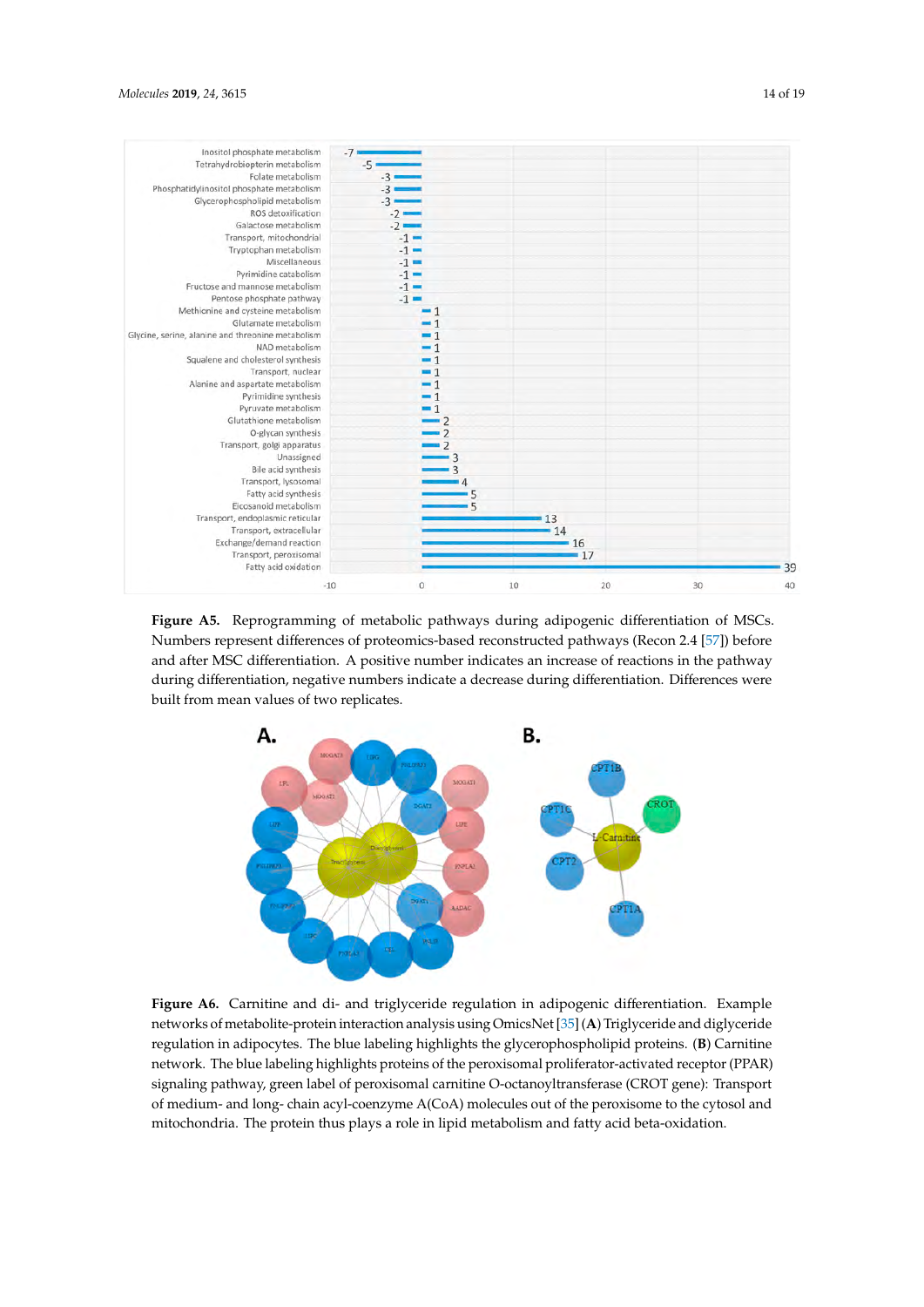<span id="page-13-0"></span>

<span id="page-13-1"></span>Figure A5. Reprogramming of metabolic pathways during adipogenic differentiation of MSCs. Numbers represent differences of proteomics-based reconstructed pathways (Recon2.4[57]) before Numbers represent differences of proteomics-based reconstructed pathways (Recon 2.4 [\[57\]](#page-18-3)) before and after MSC differentiation. A positive number indicates an increase of reactions in the pathway during differentiation, negative numbers indicate a decrease during differentiation. Differences were built from mean values of two replicates.



**Figure A6.** Carnitine and di- and triglyceride regulation in adipogenic differentiation. Example networks of metabolite-protein interaction analysis using OmicsNet [\[35\]](#page-17-3) (**A**) Triglyceride and diglyceride regulation in adipocytes. The blue labeling highlights the glycerophospholipid proteins. (**B**) Carnitine network. The blue labeling highlights proteins of the peroxisomal proliferator-activated receptor (PPAR) signaling pathway, green label of peroxisomal carnitine O-octanoyltransferase (CROT gene): Transport of medium- and long- chain acyl-coenzyme A(CoA) molecules out of the peroxisome to the cytosol and mitochondria. The protein thus plays a role in lipid metabolism and fatty acid beta-oxidation. peroxisome to the cytosol and mitochondria. The protein thus plays a role in lipid metabolism and **Figure A6.** Carnitine and di- and triglyceride regulation in adipogenic differentiation. Example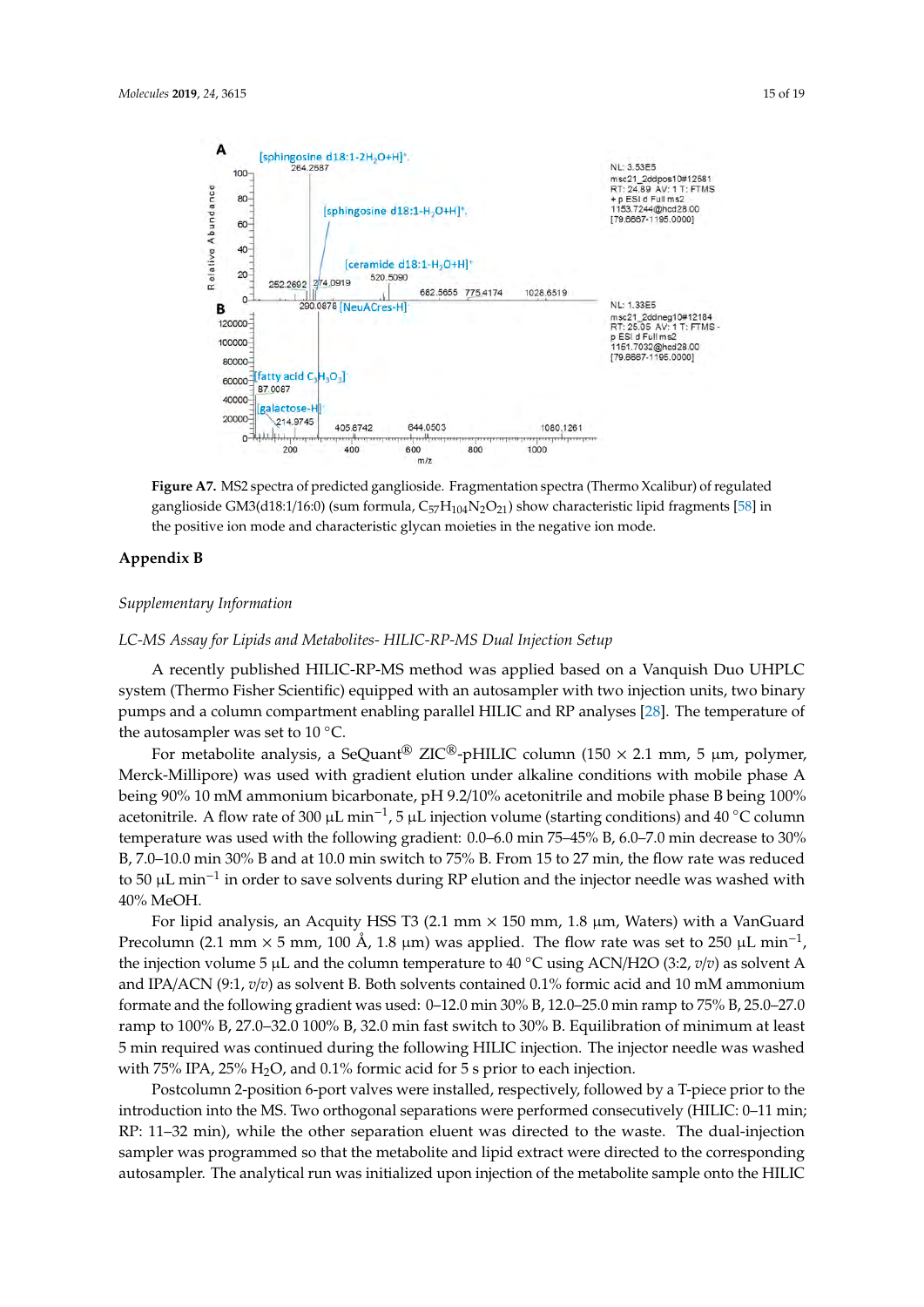<span id="page-14-0"></span>

**Figure A7.** MS2 spectra of predicted ganglioside. Fragmentation spectra (Thermo Xcalibur) of **Figure A7.** MS2 spectra of predicted ganglioside. Fragmentation spectra (Thermo Xcalibur) of regulated ganglioside GM3(d18:1/16:0) (sum formula,  $C_{57}H_{104}N_2O_{21}$ ) show characteristic lipid fragments [\[58\]](#page-18-4) in the positive ion mode and characteristic glycan moieties in the negative ion mode.

## <span id="page-14-1"></span>**Appendix B Appendix B**

### **Supplementary Information**  *Supplementary Information*

### *LC-MS Assay for Lipids and Metabolites- HILIC-RP-MS Dual Injection Setup LC-MS Assay for Lipids and Metabolites- HILIC-RP-MS Dual Injection Setup*

A recently published HILIC-RP-MS method was applied based on a Vanquish Duo UHPLC A recently published HILIC-RP-MS method was applied based on a Vanquish Duo UHPLC system (Thermo Fisher Scientific) equipped with an autosampler with two injection units, two binary system (The pumps and a column compartment enabling parallel HILIC and RP analyses [\[28\]](#page-16-11). The temperature of the autosampler was set to  $10^{\circ}$ C.

For metabolite analysis, a SeQuant<sup>®</sup> ZIC<sup>®</sup>-pHILIC column (150  $\times$  2.1 mm, 5 µm, polymer, Merck-Millipore) was used with gradient elution under alkaline conditions with mobile phase A being 90% 10 mM ammonium bicarbonate, pH 9.2/10% acetonitrile and mobile phase B being 100% acetonitrile. A flow rate of 300 µL min<sup>-1</sup>, 5 µL injection volume (starting conditions) and 40 °C column temperature was used with the following gradient: 0.0–6.0 min 75–45% B, 6.0–7.0 min decrease to 30% B, 7.0–10.0 min 30% B and at 10.0 min switch to 75% B. From 15 to 27 min, the flow rate was reduced to 50 µL min−<sup>1</sup> in order to save solvents during RP elution and the injector needle was washed with 40% MeOH.

For lipid analysis, an Acquity HSS T3 (2.1 mm  $\times$  150 mm, 1.8 µm, Waters) with a VanGuard Precolumn (2.1 mm  $\times$  5 mm, 100 Å, 1.8 µm) was applied. The flow rate was set to 250 µL min<sup>-1</sup>, the injection volume 5  $\mu$ L and the column temperature to 40 °C using ACN/H2O (3:2, *v*/*v*) as solvent A and IPA/ACN (9:1, *v*/*v*) as solvent B. Both solvents contained 0.1% formic acid and 10 mM ammonium formate and the following gradient was used: 0–12.0 min 30% B, 12.0–25.0 min ramp to 75% B, 25.0–27.0 ramp to 100% B, 27.0–32.0 100% B, 32.0 min fast switch to 30% B. Equilibration of minimum at least 5 min required was continued during the following HILIC injection. The injector needle was washed with 75% IPA, 25%  $H_2O$ , and 0.1% formic acid for 5 s prior to each injection.

Postcolumn 2-position 6-port valves were installed, respectively, followed by a T-piece prior to the introduction into the MS. Two orthogonal separations were performed consecutively (HILIC: 0–11 min; RP: 11–32 min), while the other separation eluent was directed to the waste. The dual-injection sampler was programmed so that the metabolite and lipid extract were directed to the corresponding autosampler. The analytical run was initialized upon injection of the metabolite sample onto the HILIC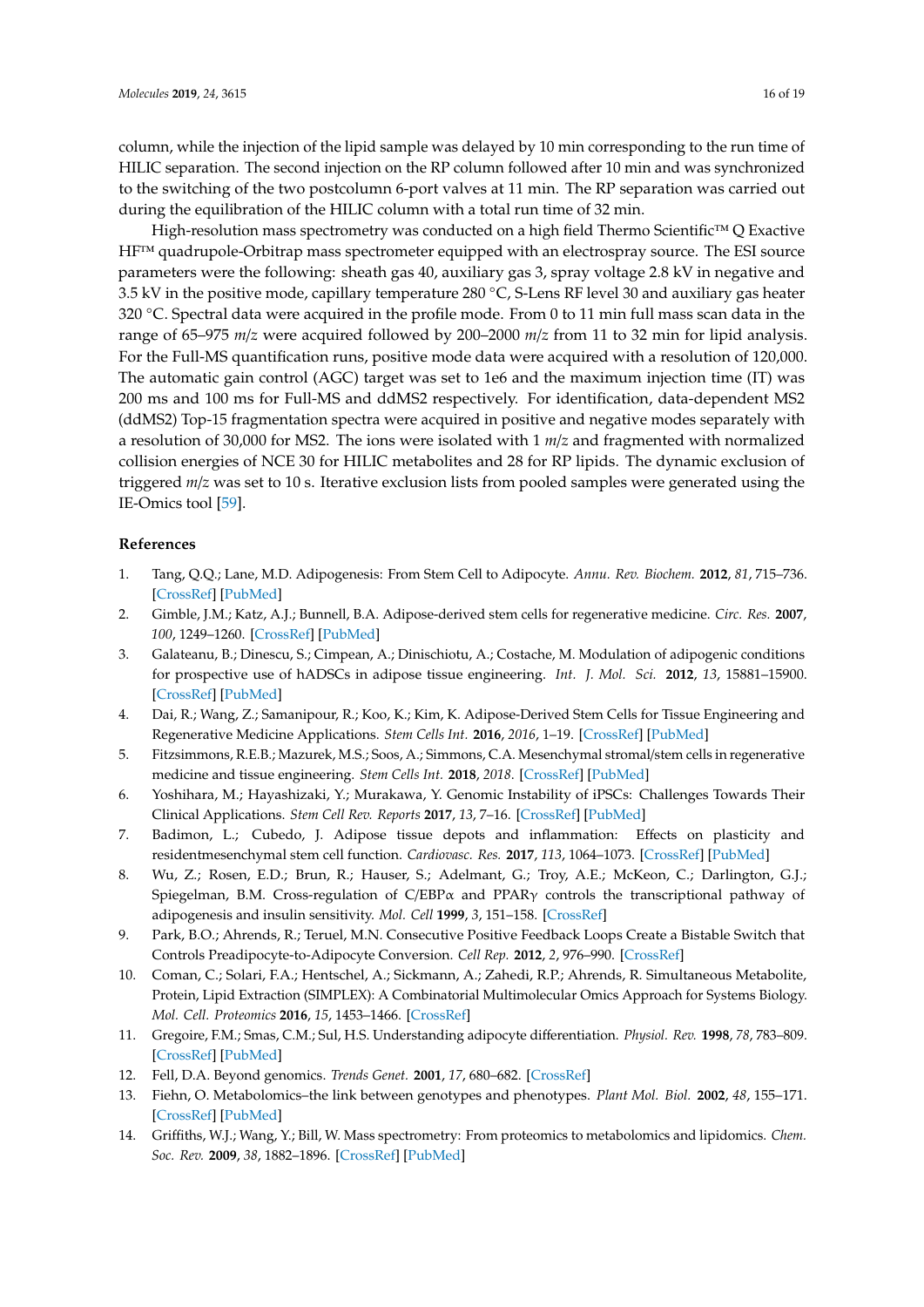column, while the injection of the lipid sample was delayed by 10 min corresponding to the run time of HILIC separation. The second injection on the RP column followed after 10 min and was synchronized to the switching of the two postcolumn 6-port valves at 11 min. The RP separation was carried out during the equilibration of the HILIC column with a total run time of 32 min.

High-resolution mass spectrometry was conducted on a high field Thermo Scientific™ Q Exactive HF™ quadrupole-Orbitrap mass spectrometer equipped with an electrospray source. The ESI source parameters were the following: sheath gas 40, auxiliary gas 3, spray voltage 2.8 kV in negative and 3.5 kV in the positive mode, capillary temperature 280 ◦C, S-Lens RF level 30 and auxiliary gas heater 320  $\degree$ C. Spectral data were acquired in the profile mode. From 0 to 11 min full mass scan data in the range of 65–975 *m*/*z* were acquired followed by 200–2000 *m*/*z* from 11 to 32 min for lipid analysis. For the Full-MS quantification runs, positive mode data were acquired with a resolution of 120,000. The automatic gain control (AGC) target was set to 1e6 and the maximum injection time (IT) was 200 ms and 100 ms for Full-MS and ddMS2 respectively. For identification, data-dependent MS2 (ddMS2) Top-15 fragmentation spectra were acquired in positive and negative modes separately with a resolution of 30,000 for MS2. The ions were isolated with 1 *m*/*z* and fragmented with normalized collision energies of NCE 30 for HILIC metabolites and 28 for RP lipids. The dynamic exclusion of triggered *m*/*z* was set to 10 s. Iterative exclusion lists from pooled samples were generated using the IE-Omics tool [\[59\]](#page-18-5).

#### **References**

- <span id="page-15-0"></span>1. Tang, Q.Q.; Lane, M.D. Adipogenesis: From Stem Cell to Adipocyte. *Annu. Rev. Biochem.* **2012**, *81*, 715–736. [\[CrossRef\]](http://dx.doi.org/10.1146/annurev-biochem-052110-115718) [\[PubMed\]](http://www.ncbi.nlm.nih.gov/pubmed/22463691)
- <span id="page-15-1"></span>2. Gimble, J.M.; Katz, A.J.; Bunnell, B.A. Adipose-derived stem cells for regenerative medicine. *Circ. Res.* **2007**, *100*, 1249–1260. [\[CrossRef\]](http://dx.doi.org/10.1161/01.RES.0000265074.83288.09) [\[PubMed\]](http://www.ncbi.nlm.nih.gov/pubmed/17495232)
- <span id="page-15-11"></span>3. Galateanu, B.; Dinescu, S.; Cimpean, A.; Dinischiotu, A.; Costache, M. Modulation of adipogenic conditions for prospective use of hADSCs in adipose tissue engineering. *Int. J. Mol. Sci.* **2012**, *13*, 15881–15900. [\[CrossRef\]](http://dx.doi.org/10.3390/ijms131215881) [\[PubMed\]](http://www.ncbi.nlm.nih.gov/pubmed/23443100)
- <span id="page-15-5"></span>4. Dai, R.; Wang, Z.; Samanipour, R.; Koo, K.; Kim, K. Adipose-Derived Stem Cells for Tissue Engineering and Regenerative Medicine Applications. *Stem Cells Int.* **2016**, *2016*, 1–19. [\[CrossRef\]](http://dx.doi.org/10.1155/2016/6737345) [\[PubMed\]](http://www.ncbi.nlm.nih.gov/pubmed/27057174)
- <span id="page-15-2"></span>5. Fitzsimmons, R.E.B.; Mazurek, M.S.; Soos, A.; Simmons, C.A. Mesenchymal stromal/stem cells in regenerative medicine and tissue engineering. *Stem Cells Int.* **2018**, *2018*. [\[CrossRef\]](http://dx.doi.org/10.1155/2018/8031718) [\[PubMed\]](http://www.ncbi.nlm.nih.gov/pubmed/30210552)
- <span id="page-15-3"></span>6. Yoshihara, M.; Hayashizaki, Y.; Murakawa, Y. Genomic Instability of iPSCs: Challenges Towards Their Clinical Applications. *Stem Cell Rev. Reports* **2017**, *13*, 7–16. [\[CrossRef\]](http://dx.doi.org/10.1007/s12015-016-9680-6) [\[PubMed\]](http://www.ncbi.nlm.nih.gov/pubmed/27592701)
- <span id="page-15-4"></span>7. Badimon, L.; Cubedo, J. Adipose tissue depots and inflammation: Effects on plasticity and residentmesenchymal stem cell function. *Cardiovasc. Res.* **2017**, *113*, 1064–1073. [\[CrossRef\]](http://dx.doi.org/10.1093/cvr/cvx096) [\[PubMed\]](http://www.ncbi.nlm.nih.gov/pubmed/28498891)
- <span id="page-15-6"></span>8. Wu, Z.; Rosen, E.D.; Brun, R.; Hauser, S.; Adelmant, G.; Troy, A.E.; McKeon, C.; Darlington, G.J.; Spiegelman, B.M. Cross-regulation of C/EBPα and PPARγ controls the transcriptional pathway of adipogenesis and insulin sensitivity. *Mol. Cell* **1999**, *3*, 151–158. [\[CrossRef\]](http://dx.doi.org/10.1016/S1097-2765(00)80306-8)
- 9. Park, B.O.; Ahrends, R.; Teruel, M.N. Consecutive Positive Feedback Loops Create a Bistable Switch that Controls Preadipocyte-to-Adipocyte Conversion. *Cell Rep.* **2012**, *2*, 976–990. [\[CrossRef\]](http://dx.doi.org/10.1016/j.celrep.2012.08.038)
- <span id="page-15-7"></span>10. Coman, C.; Solari, F.A.; Hentschel, A.; Sickmann, A.; Zahedi, R.P.; Ahrends, R. Simultaneous Metabolite, Protein, Lipid Extraction (SIMPLEX): A Combinatorial Multimolecular Omics Approach for Systems Biology. *Mol. Cell. Proteomics* **2016**, *15*, 1453–1466. [\[CrossRef\]](http://dx.doi.org/10.1074/mcp.M115.053702)
- <span id="page-15-8"></span>11. Gregoire, F.M.; Smas, C.M.; Sul, H.S. Understanding adipocyte differentiation. *Physiol. Rev.* **1998**, *78*, 783–809. [\[CrossRef\]](http://dx.doi.org/10.1152/physrev.1998.78.3.783) [\[PubMed\]](http://www.ncbi.nlm.nih.gov/pubmed/9674695)
- <span id="page-15-9"></span>12. Fell, D.A. Beyond genomics. *Trends Genet.* **2001**, *17*, 680–682. [\[CrossRef\]](http://dx.doi.org/10.1016/S0168-9525(01)02521-5)
- 13. Fiehn, O. Metabolomics–the link between genotypes and phenotypes. *Plant Mol. Biol.* **2002**, *48*, 155–171. [\[CrossRef\]](http://dx.doi.org/10.1023/A:1013713905833) [\[PubMed\]](http://www.ncbi.nlm.nih.gov/pubmed/11860207)
- <span id="page-15-10"></span>14. Griffiths, W.J.; Wang, Y.; Bill, W. Mass spectrometry: From proteomics to metabolomics and lipidomics. *Chem. Soc. Rev.* **2009**, *38*, 1882–1896. [\[CrossRef\]](http://dx.doi.org/10.1039/b618553n) [\[PubMed\]](http://www.ncbi.nlm.nih.gov/pubmed/19551169)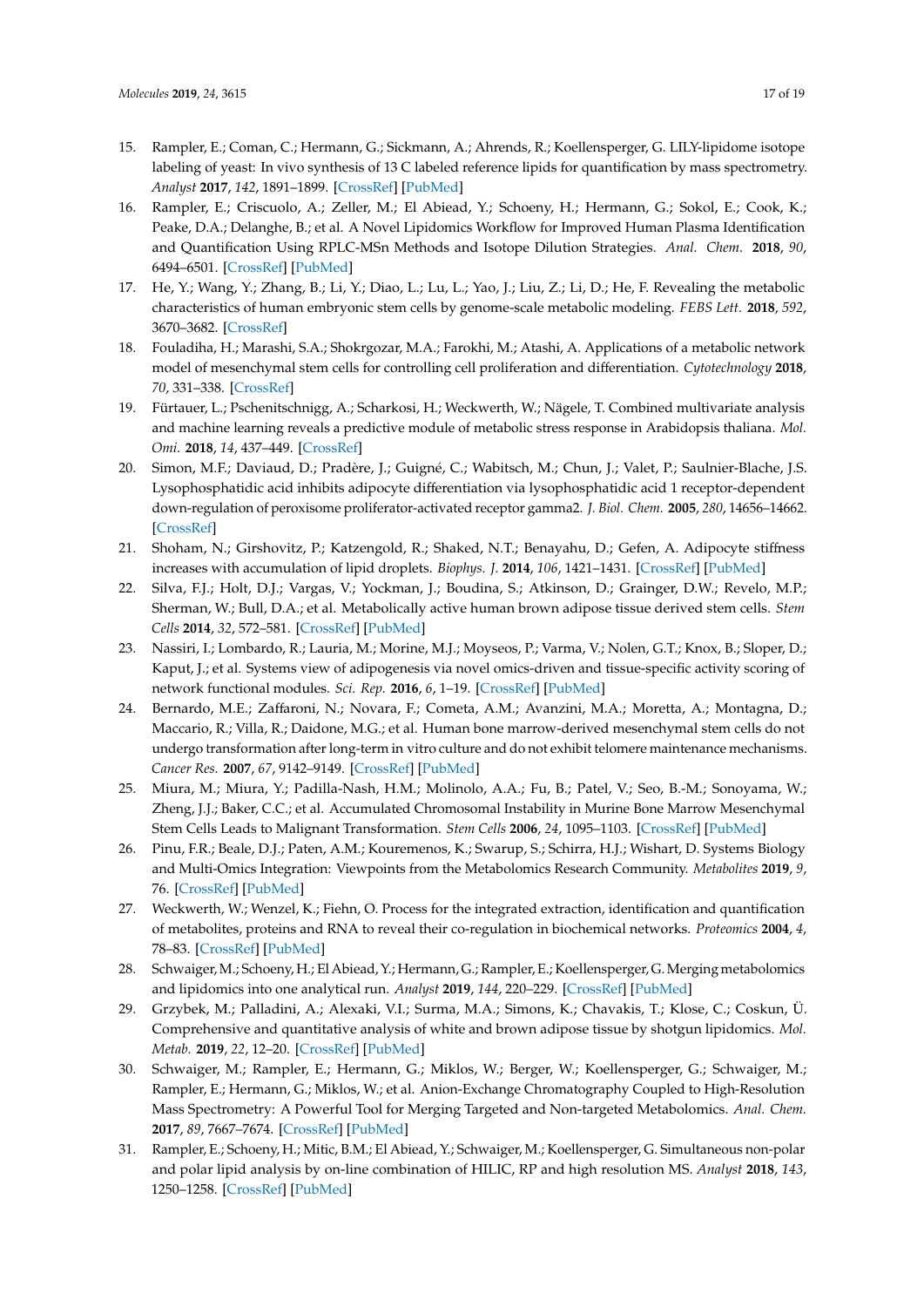- <span id="page-16-0"></span>15. Rampler, E.; Coman, C.; Hermann, G.; Sickmann, A.; Ahrends, R.; Koellensperger, G. LILY-lipidome isotope labeling of yeast: In vivo synthesis of 13 C labeled reference lipids for quantification by mass spectrometry. *Analyst* **2017**, *142*, 1891–1899. [\[CrossRef\]](http://dx.doi.org/10.1039/C7AN00107J) [\[PubMed\]](http://www.ncbi.nlm.nih.gov/pubmed/28475182)
- <span id="page-16-1"></span>16. Rampler, E.; Criscuolo, A.; Zeller, M.; El Abiead, Y.; Schoeny, H.; Hermann, G.; Sokol, E.; Cook, K.; Peake, D.A.; Delanghe, B.; et al. A Novel Lipidomics Workflow for Improved Human Plasma Identification and Quantification Using RPLC-MSn Methods and Isotope Dilution Strategies. *Anal. Chem.* **2018**, *90*, 6494–6501. [\[CrossRef\]](http://dx.doi.org/10.1021/acs.analchem.7b05382) [\[PubMed\]](http://www.ncbi.nlm.nih.gov/pubmed/29708737)
- <span id="page-16-2"></span>17. He, Y.; Wang, Y.; Zhang, B.; Li, Y.; Diao, L.; Lu, L.; Yao, J.; Liu, Z.; Li, D.; He, F. Revealing the metabolic characteristics of human embryonic stem cells by genome-scale metabolic modeling. *FEBS Lett.* **2018**, *592*, 3670–3682. [\[CrossRef\]](http://dx.doi.org/10.1002/1873-3468.13255)
- <span id="page-16-3"></span>18. Fouladiha, H.; Marashi, S.A.; Shokrgozar, M.A.; Farokhi, M.; Atashi, A. Applications of a metabolic network model of mesenchymal stem cells for controlling cell proliferation and differentiation. *Cytotechnology* **2018**, *70*, 331–338. [\[CrossRef\]](http://dx.doi.org/10.1007/s10616-017-0148-6)
- <span id="page-16-4"></span>19. Fürtauer, L.; Pschenitschnigg, A.; Scharkosi, H.; Weckwerth, W.; Nägele, T. Combined multivariate analysis and machine learning reveals a predictive module of metabolic stress response in Arabidopsis thaliana. *Mol. Omi.* **2018**, *14*, 437–449. [\[CrossRef\]](http://dx.doi.org/10.1039/C8MO00095F)
- <span id="page-16-5"></span>20. Simon, M.F.; Daviaud, D.; Pradère, J.; Guigné, C.; Wabitsch, M.; Chun, J.; Valet, P.; Saulnier-Blache, J.S. Lysophosphatidic acid inhibits adipocyte differentiation via lysophosphatidic acid 1 receptor-dependent down-regulation of peroxisome proliferator-activated receptor gamma2. *J. Biol. Chem.* **2005**, *280*, 14656–14662. [\[CrossRef\]](http://dx.doi.org/10.1074/jbc.M412585200)
- 21. Shoham, N.; Girshovitz, P.; Katzengold, R.; Shaked, N.T.; Benayahu, D.; Gefen, A. Adipocyte stiffness increases with accumulation of lipid droplets. *Biophys. J.* **2014**, *106*, 1421–1431. [\[CrossRef\]](http://dx.doi.org/10.1016/j.bpj.2014.01.045) [\[PubMed\]](http://www.ncbi.nlm.nih.gov/pubmed/24655518)
- 22. Silva, F.J.; Holt, D.J.; Vargas, V.; Yockman, J.; Boudina, S.; Atkinson, D.; Grainger, D.W.; Revelo, M.P.; Sherman, W.; Bull, D.A.; et al. Metabolically active human brown adipose tissue derived stem cells. *Stem Cells* **2014**, *32*, 572–581. [\[CrossRef\]](http://dx.doi.org/10.1002/stem.1595) [\[PubMed\]](http://www.ncbi.nlm.nih.gov/pubmed/24420906)
- <span id="page-16-6"></span>23. Nassiri, I.; Lombardo, R.; Lauria, M.; Morine, M.J.; Moyseos, P.; Varma, V.; Nolen, G.T.; Knox, B.; Sloper, D.; Kaput, J.; et al. Systems view of adipogenesis via novel omics-driven and tissue-specific activity scoring of network functional modules. *Sci. Rep.* **2016**, *6*, 1–19. [\[CrossRef\]](http://dx.doi.org/10.1038/srep28851) [\[PubMed\]](http://www.ncbi.nlm.nih.gov/pubmed/27385551)
- <span id="page-16-7"></span>24. Bernardo, M.E.; Zaffaroni, N.; Novara, F.; Cometa, A.M.; Avanzini, M.A.; Moretta, A.; Montagna, D.; Maccario, R.; Villa, R.; Daidone, M.G.; et al. Human bone marrow-derived mesenchymal stem cells do not undergo transformation after long-term in vitro culture and do not exhibit telomere maintenance mechanisms. *Cancer Res.* **2007**, *67*, 9142–9149. [\[CrossRef\]](http://dx.doi.org/10.1158/0008-5472.CAN-06-4690) [\[PubMed\]](http://www.ncbi.nlm.nih.gov/pubmed/17909019)
- <span id="page-16-8"></span>25. Miura, M.; Miura, Y.; Padilla-Nash, H.M.; Molinolo, A.A.; Fu, B.; Patel, V.; Seo, B.-M.; Sonoyama, W.; Zheng, J.J.; Baker, C.C.; et al. Accumulated Chromosomal Instability in Murine Bone Marrow Mesenchymal Stem Cells Leads to Malignant Transformation. *Stem Cells* **2006**, *24*, 1095–1103. [\[CrossRef\]](http://dx.doi.org/10.1634/stemcells.2005-0403) [\[PubMed\]](http://www.ncbi.nlm.nih.gov/pubmed/16282438)
- <span id="page-16-9"></span>26. Pinu, F.R.; Beale, D.J.; Paten, A.M.; Kouremenos, K.; Swarup, S.; Schirra, H.J.; Wishart, D. Systems Biology and Multi-Omics Integration: Viewpoints from the Metabolomics Research Community. *Metabolites* **2019**, *9*, 76. [\[CrossRef\]](http://dx.doi.org/10.3390/metabo9040076) [\[PubMed\]](http://www.ncbi.nlm.nih.gov/pubmed/31003499)
- <span id="page-16-10"></span>27. Weckwerth, W.; Wenzel, K.; Fiehn, O. Process for the integrated extraction, identification and quantification of metabolites, proteins and RNA to reveal their co-regulation in biochemical networks. *Proteomics* **2004**, *4*, 78–83. [\[CrossRef\]](http://dx.doi.org/10.1002/pmic.200200500) [\[PubMed\]](http://www.ncbi.nlm.nih.gov/pubmed/14730673)
- <span id="page-16-11"></span>28. Schwaiger,M.; Schoeny, H.; El Abiead, Y.; Hermann, G.; Rampler, E.; Koellensperger, G.Merging metabolomics and lipidomics into one analytical run. *Analyst* **2019**, *144*, 220–229. [\[CrossRef\]](http://dx.doi.org/10.1039/C8AN01219A) [\[PubMed\]](http://www.ncbi.nlm.nih.gov/pubmed/30411762)
- <span id="page-16-12"></span>29. Grzybek, M.; Palladini, A.; Alexaki, V.I.; Surma, M.A.; Simons, K.; Chavakis, T.; Klose, C.; Coskun, Ü. Comprehensive and quantitative analysis of white and brown adipose tissue by shotgun lipidomics. *Mol. Metab.* **2019**, *22*, 12–20. [\[CrossRef\]](http://dx.doi.org/10.1016/j.molmet.2019.01.009) [\[PubMed\]](http://www.ncbi.nlm.nih.gov/pubmed/30777728)
- <span id="page-16-13"></span>30. Schwaiger, M.; Rampler, E.; Hermann, G.; Miklos, W.; Berger, W.; Koellensperger, G.; Schwaiger, M.; Rampler, E.; Hermann, G.; Miklos, W.; et al. Anion-Exchange Chromatography Coupled to High-Resolution Mass Spectrometry: A Powerful Tool for Merging Targeted and Non-targeted Metabolomics. *Anal. Chem.* **2017**, *89*, 7667–7674. [\[CrossRef\]](http://dx.doi.org/10.1021/acs.analchem.7b01624) [\[PubMed\]](http://www.ncbi.nlm.nih.gov/pubmed/28581703)
- <span id="page-16-14"></span>31. Rampler, E.; Schoeny, H.; Mitic, B.M.; El Abiead, Y.; Schwaiger, M.; Koellensperger, G. Simultaneous non-polar and polar lipid analysis by on-line combination of HILIC, RP and high resolution MS. *Analyst* **2018**, *143*, 1250–1258. [\[CrossRef\]](http://dx.doi.org/10.1039/C7AN01984J) [\[PubMed\]](http://www.ncbi.nlm.nih.gov/pubmed/29431763)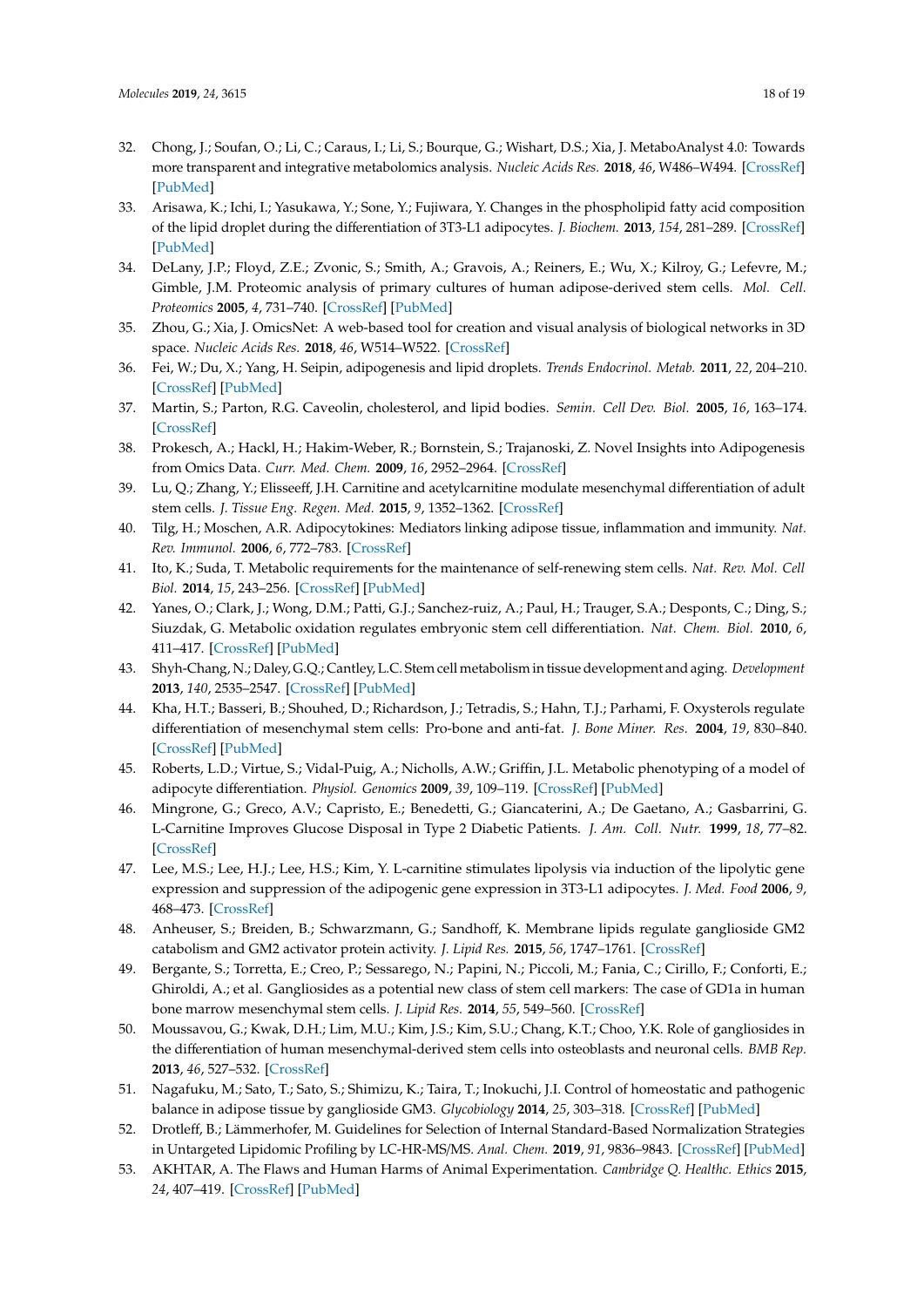- <span id="page-17-0"></span>32. Chong, J.; Soufan, O.; Li, C.; Caraus, I.; Li, S.; Bourque, G.; Wishart, D.S.; Xia, J. MetaboAnalyst 4.0: Towards more transparent and integrative metabolomics analysis. *Nucleic Acids Res.* **2018**, *46*, W486–W494. [\[CrossRef\]](http://dx.doi.org/10.1093/nar/gky310) [\[PubMed\]](http://www.ncbi.nlm.nih.gov/pubmed/29762782)
- <span id="page-17-1"></span>33. Arisawa, K.; Ichi, I.; Yasukawa, Y.; Sone, Y.; Fujiwara, Y. Changes in the phospholipid fatty acid composition of the lipid droplet during the differentiation of 3T3-L1 adipocytes. *J. Biochem.* **2013**, *154*, 281–289. [\[CrossRef\]](http://dx.doi.org/10.1093/jb/mvt051) [\[PubMed\]](http://www.ncbi.nlm.nih.gov/pubmed/23760554)
- <span id="page-17-2"></span>34. DeLany, J.P.; Floyd, Z.E.; Zvonic, S.; Smith, A.; Gravois, A.; Reiners, E.; Wu, X.; Kilroy, G.; Lefevre, M.; Gimble, J.M. Proteomic analysis of primary cultures of human adipose-derived stem cells. *Mol. Cell. Proteomics* **2005**, *4*, 731–740. [\[CrossRef\]](http://dx.doi.org/10.1074/mcp.M400198-MCP200) [\[PubMed\]](http://www.ncbi.nlm.nih.gov/pubmed/15753122)
- <span id="page-17-3"></span>35. Zhou, G.; Xia, J. OmicsNet: A web-based tool for creation and visual analysis of biological networks in 3D space. *Nucleic Acids Res.* **2018**, *46*, W514–W522. [\[CrossRef\]](http://dx.doi.org/10.1093/nar/gky510)
- <span id="page-17-4"></span>36. Fei, W.; Du, X.; Yang, H. Seipin, adipogenesis and lipid droplets. *Trends Endocrinol. Metab.* **2011**, *22*, 204–210. [\[CrossRef\]](http://dx.doi.org/10.1016/j.tem.2011.02.004) [\[PubMed\]](http://www.ncbi.nlm.nih.gov/pubmed/21497513)
- <span id="page-17-5"></span>37. Martin, S.; Parton, R.G. Caveolin, cholesterol, and lipid bodies. *Semin. Cell Dev. Biol.* **2005**, *16*, 163–174. [\[CrossRef\]](http://dx.doi.org/10.1016/j.semcdb.2005.01.007)
- <span id="page-17-6"></span>38. Prokesch, A.; Hackl, H.; Hakim-Weber, R.; Bornstein, S.; Trajanoski, Z. Novel Insights into Adipogenesis from Omics Data. *Curr. Med. Chem.* **2009**, *16*, 2952–2964. [\[CrossRef\]](http://dx.doi.org/10.2174/092986709788803132)
- <span id="page-17-7"></span>39. Lu, Q.; Zhang, Y.; Elisseeff, J.H. Carnitine and acetylcarnitine modulate mesenchymal differentiation of adult stem cells. *J. Tissue Eng. Regen. Med.* **2015**, *9*, 1352–1362. [\[CrossRef\]](http://dx.doi.org/10.1002/term.1747)
- 40. Tilg, H.; Moschen, A.R. Adipocytokines: Mediators linking adipose tissue, inflammation and immunity. *Nat. Rev. Immunol.* **2006**, *6*, 772–783. [\[CrossRef\]](http://dx.doi.org/10.1038/nri1937)
- <span id="page-17-8"></span>41. Ito, K.; Suda, T. Metabolic requirements for the maintenance of self-renewing stem cells. *Nat. Rev. Mol. Cell Biol.* **2014**, *15*, 243–256. [\[CrossRef\]](http://dx.doi.org/10.1038/nrm3772) [\[PubMed\]](http://www.ncbi.nlm.nih.gov/pubmed/24651542)
- <span id="page-17-9"></span>42. Yanes, O.; Clark, J.; Wong, D.M.; Patti, G.J.; Sanchez-ruiz, A.; Paul, H.; Trauger, S.A.; Desponts, C.; Ding, S.; Siuzdak, G. Metabolic oxidation regulates embryonic stem cell differentiation. *Nat. Chem. Biol.* **2010**, *6*, 411–417. [\[CrossRef\]](http://dx.doi.org/10.1038/nchembio.364) [\[PubMed\]](http://www.ncbi.nlm.nih.gov/pubmed/20436487)
- 43. Shyh-Chang, N.; Daley, G.Q.; Cantley, L.C. Stem cell metabolism in tissue development and aging. *Development* **2013**, *140*, 2535–2547. [\[CrossRef\]](http://dx.doi.org/10.1242/dev.091777) [\[PubMed\]](http://www.ncbi.nlm.nih.gov/pubmed/23715547)
- <span id="page-17-10"></span>44. Kha, H.T.; Basseri, B.; Shouhed, D.; Richardson, J.; Tetradis, S.; Hahn, T.J.; Parhami, F. Oxysterols regulate differentiation of mesenchymal stem cells: Pro-bone and anti-fat. *J. Bone Miner. Res.* **2004**, *19*, 830–840. [\[CrossRef\]](http://dx.doi.org/10.1359/jbmr.040115) [\[PubMed\]](http://www.ncbi.nlm.nih.gov/pubmed/15068507)
- <span id="page-17-11"></span>45. Roberts, L.D.; Virtue, S.; Vidal-Puig, A.; Nicholls, A.W.; Griffin, J.L. Metabolic phenotyping of a model of adipocyte differentiation. *Physiol. Genomics* **2009**, *39*, 109–119. [\[CrossRef\]](http://dx.doi.org/10.1152/physiolgenomics.90365.2008) [\[PubMed\]](http://www.ncbi.nlm.nih.gov/pubmed/19602617)
- <span id="page-17-12"></span>46. Mingrone, G.; Greco, A.V.; Capristo, E.; Benedetti, G.; Giancaterini, A.; De Gaetano, A.; Gasbarrini, G. L-Carnitine Improves Glucose Disposal in Type 2 Diabetic Patients. *J. Am. Coll. Nutr.* **1999**, *18*, 77–82. [\[CrossRef\]](http://dx.doi.org/10.1080/07315724.1999.10718830)
- <span id="page-17-13"></span>47. Lee, M.S.; Lee, H.J.; Lee, H.S.; Kim, Y. L-carnitine stimulates lipolysis via induction of the lipolytic gene expression and suppression of the adipogenic gene expression in 3T3-L1 adipocytes. *J. Med. Food* **2006**, *9*, 468–473. [\[CrossRef\]](http://dx.doi.org/10.1089/jmf.2006.9.468)
- <span id="page-17-14"></span>48. Anheuser, S.; Breiden, B.; Schwarzmann, G.; Sandhoff, K. Membrane lipids regulate ganglioside GM2 catabolism and GM2 activator protein activity. *J. Lipid Res.* **2015**, *56*, 1747–1761. [\[CrossRef\]](http://dx.doi.org/10.1194/jlr.M061036)
- <span id="page-17-15"></span>49. Bergante, S.; Torretta, E.; Creo, P.; Sessarego, N.; Papini, N.; Piccoli, M.; Fania, C.; Cirillo, F.; Conforti, E.; Ghiroldi, A.; et al. Gangliosides as a potential new class of stem cell markers: The case of GD1a in human bone marrow mesenchymal stem cells. *J. Lipid Res.* **2014**, *55*, 549–560. [\[CrossRef\]](http://dx.doi.org/10.1194/jlr.M046672)
- <span id="page-17-16"></span>50. Moussavou, G.; Kwak, D.H.; Lim, M.U.; Kim, J.S.; Kim, S.U.; Chang, K.T.; Choo, Y.K. Role of gangliosides in the differentiation of human mesenchymal-derived stem cells into osteoblasts and neuronal cells. *BMB Rep.* **2013**, *46*, 527–532. [\[CrossRef\]](http://dx.doi.org/10.5483/BMBRep.2013.46.11.179)
- <span id="page-17-17"></span>51. Nagafuku, M.; Sato, T.; Sato, S.; Shimizu, K.; Taira, T.; Inokuchi, J.I. Control of homeostatic and pathogenic balance in adipose tissue by ganglioside GM3. *Glycobiology* **2014**, *25*, 303–318. [\[CrossRef\]](http://dx.doi.org/10.1093/glycob/cwu112) [\[PubMed\]](http://www.ncbi.nlm.nih.gov/pubmed/25303960)
- <span id="page-17-18"></span>52. Drotleff, B.; Lämmerhofer, M. Guidelines for Selection of Internal Standard-Based Normalization Strategies in Untargeted Lipidomic Profiling by LC-HR-MS/MS. *Anal. Chem.* **2019**, *91*, 9836–9843. [\[CrossRef\]](http://dx.doi.org/10.1021/acs.analchem.9b01505) [\[PubMed\]](http://www.ncbi.nlm.nih.gov/pubmed/31241926)
- <span id="page-17-19"></span>53. AKHTAR, A. The Flaws and Human Harms of Animal Experimentation. *Cambridge Q. Healthc. Ethics* **2015**, *24*, 407–419. [\[CrossRef\]](http://dx.doi.org/10.1017/S0963180115000079) [\[PubMed\]](http://www.ncbi.nlm.nih.gov/pubmed/26364776)